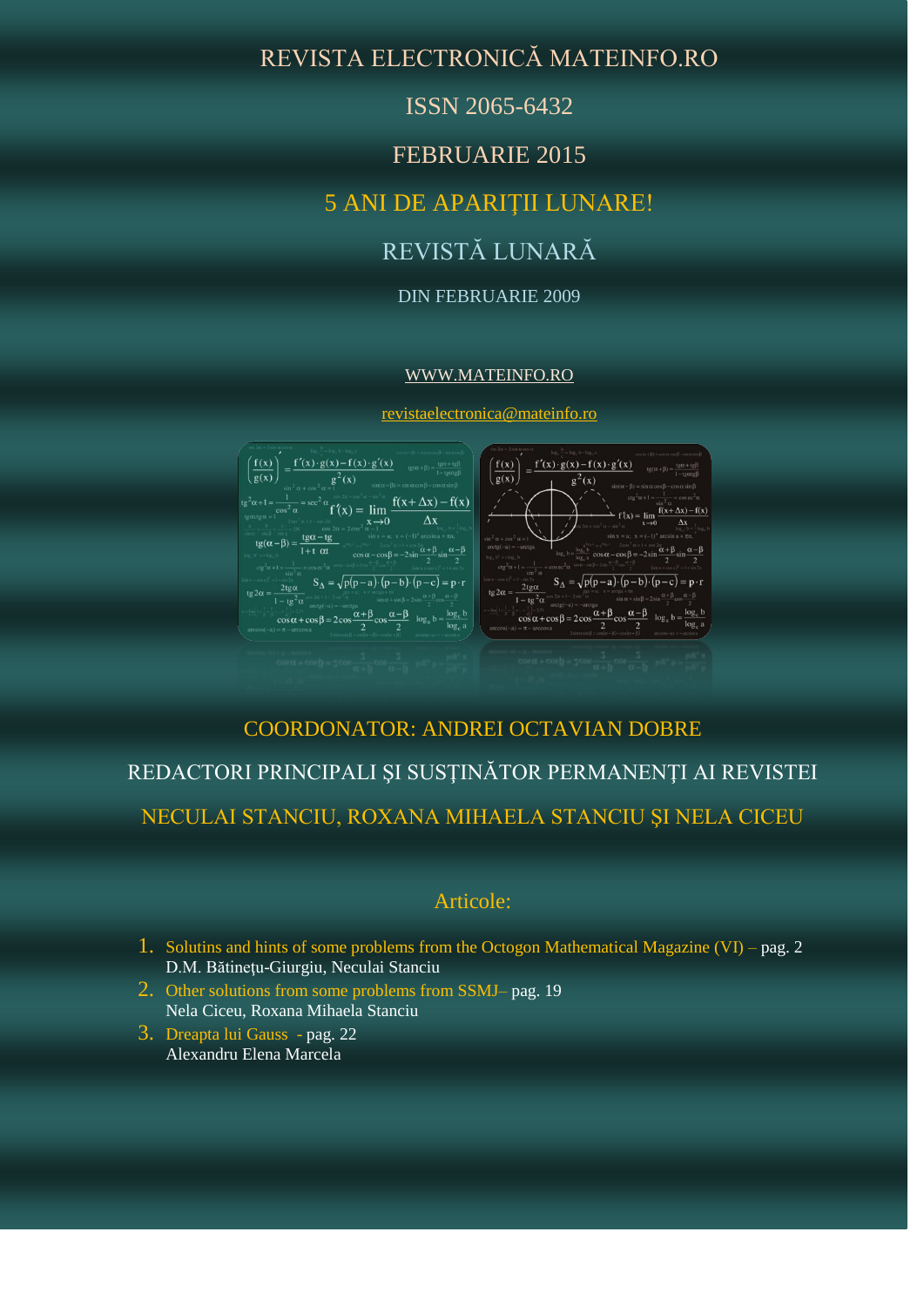# REVISTA ELECTRONICĂ MATEINFO.RO

ISSN 2065-6432

FEBRUARIE 2015

# 5 ANI DE APARIŢII LUNARE!

# REVISTĂ LUNARĂ

#### DIN FEBRUARIE 2009

#### [WWW.MATEINFO.RO](http://www.mateinfo.ro/)

[revistaelectronica@mateinfo.ro](mailto:revistaelectronica@mateinfo.ro)



## COORDONATOR: ANDREI OCTAVIAN DOBRE

# REDACTORI PRINCIPALI ŞI SUSŢINĂTOR PERMANENŢI AI REVISTEI

NECULAI STANCIU, ROXANA MIHAELA STANCIU ŞI NELA CICEU

### Articole:

- 1. Solutins and hints of some problems from the Octogon Mathematical Magazine (VI) pag. 2 D.M. Bătineţu-Giurgiu, Neculai Stanciu
- 2. Other solutions from some problems from SSMJ– pag. 19 Nela Ciceu, Roxana Mihaela Stanciu
- 3. Dreapta lui Gauss pag. 22 Alexandru Elena Marcela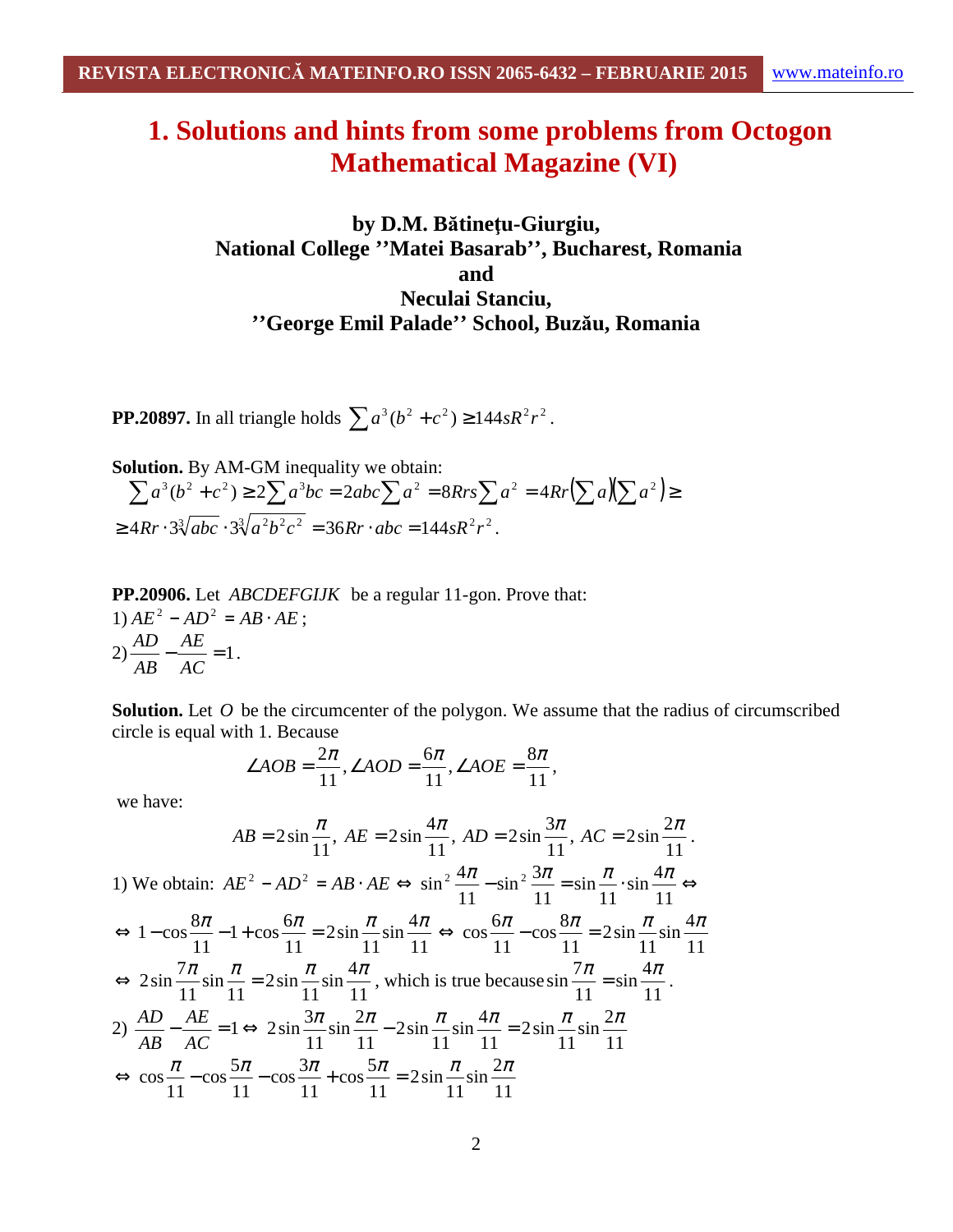# **1. Solutions and hints from some problems from Octogon Mathematical Magazine (VI)**

## **by D.M. Bătineţu-Giurgiu, National College ''Matei Basarab'', Bucharest, Romania and Neculai Stanciu, ''George Emil Palade'' School, Buzău, Romania**

**PP.20897.** In all triangle holds  $\sum a^3 (b^2 + c^2) \ge 144sR^2r^2$ .

**Solution.** By AM-GM inequality we obtain:  $\sum a^{3}(b^{2} + c^{2}) \ge 2\sum a^{3}bc = 2abc\sum a^{2} = 8Rrs\sum a^{2} = 4Rr(\sum a)(\sum a^{2}) \ge$  $\geq 4Rr \cdot 3\sqrt[3]{abc \cdot 3\sqrt[3]{a^2b^2c^2}} = 36Rr \cdot abc = 144sR^2r^2$ .

**PP.20906.** Let *ABCDEFGIJK* be a regular 11-gon. Prove that: 1)  $AE^2 - AD^2 = AB \cdot AE$ ;  $(2) \frac{112}{12} - \frac{112}{12} = 1$ *AC AE AB*  $\frac{AD}{\Delta E} - \frac{AE}{\Delta E} = 1$ .

**Solution.** Let *O* be the circumcenter of the polygon. We assume that the radius of circumscribed circle is equal with 1. Because

$$
\angle AOB = \frac{2\pi}{11}, \angle AOD = \frac{6\pi}{11}, \angle AOE = \frac{8\pi}{11},
$$

we have:

$$
AB = 2\sin\frac{\pi}{11}, AE = 2\sin\frac{4\pi}{11}, AD = 2\sin\frac{3\pi}{11}, AC = 2\sin\frac{2\pi}{11}.
$$

1) We obtain:  $AE^2 - AD^2 = AB \cdot AE \Leftrightarrow \sin^2 \frac{4\pi}{11} - \sin^2 \frac{3\pi}{11} = \sin \frac{\pi}{11} \cdot \sin \frac{4\pi}{11} \Leftrightarrow$ 11  $\sin \frac{4}{5}$ 11 sin 11  $\sin^2 \frac{3}{2}$ 11  $\sin^2 \frac{4\pi}{11} - \sin^2 \frac{3\pi}{11} = \sin \frac{\pi}{11} \cdot \sin \frac{4\pi}{11}$ 11  $\sin \frac{4}{5}$ 11 2sin 11  $1 + \cos \frac{6}{5}$ 11  $\Leftrightarrow 1-\cos\frac{8\pi}{1-\cos\frac{6\pi}{1-\cos\frac{6\pi}{1-\cos\frac{6\pi}{1-\cos\frac{6\pi}{1-\cos\frac{6\pi}{1-\cos\frac{6\pi}{1-\cos\frac{6\pi}{1-\cos\frac{6\pi}{1-\cos\frac{6\pi}{1-\cos\frac{6\pi}{1-\cos\frac{6\pi}{1-\cos\frac{6\pi}{1-\cos\frac{6\pi}{1-\cos\frac{6\pi}{1-\cos\frac{6\pi}{1-\cos\frac{6\pi}{1-\cos\frac{6\pi}{1-\cos\frac{6\pi}{1-\cos\frac{6\pi}{1-\cos\frac{6\pi}{1-\cos\frac$ 11  $\sin \frac{4}{5}$ 11 2sin 11  $\cos \frac{8}{5}$ 11  $\Leftrightarrow \cos\frac{6\pi}{11} - \cos\frac{8\pi}{11} = 2\sin\frac{\pi}{11}\sin\frac{4\pi}{11}$ 11  $\sin \frac{4}{7}$ 11 2sin 11 sin 11  $\Leftrightarrow 2\sin\frac{7\pi}{14}\sin\frac{\pi}{14} = 2\sin\frac{\pi}{14}\sin\frac{4\pi}{14}$ , which is true because 11  $\sin \frac{4}{7}$ 11  $\sin \frac{7\pi}{4} = \sin \frac{4\pi}{44}$ . 2) 11  $\sin \frac{2}{5}$ 11 2sin 11  $\sin \frac{4}{5}$ 11 2sin 11  $\sin \frac{2}{5}$ 11  $-\frac{AE}{\sqrt{2}} = 1 \Leftrightarrow 2\sin\frac{3\pi}{\sqrt{2}}\sin\frac{2\pi}{\sqrt{2}} - 2\sin\frac{\pi}{\sqrt{2}}\sin\frac{4\pi}{\sqrt{2}} = 2\sin\frac{\pi}{\sqrt{2}}\sin\frac{2\pi}{\sqrt{2}}$ *AC AE AB AD* 11  $\sin \frac{2}{5}$ 11 2sin 11  $\cos \frac{5}{5}$ 11  $\cos \frac{3}{2}$ 11  $\cos \frac{5}{5}$ 11  $\Leftrightarrow \cos\frac{\pi}{\pi} - \cos\frac{5\pi}{\pi} - \cos\frac{5\pi}{\pi} + \cos\frac{5\pi}{\pi} = 2\sin\frac{\pi}{\pi}\sin\frac{2\pi}{\pi}$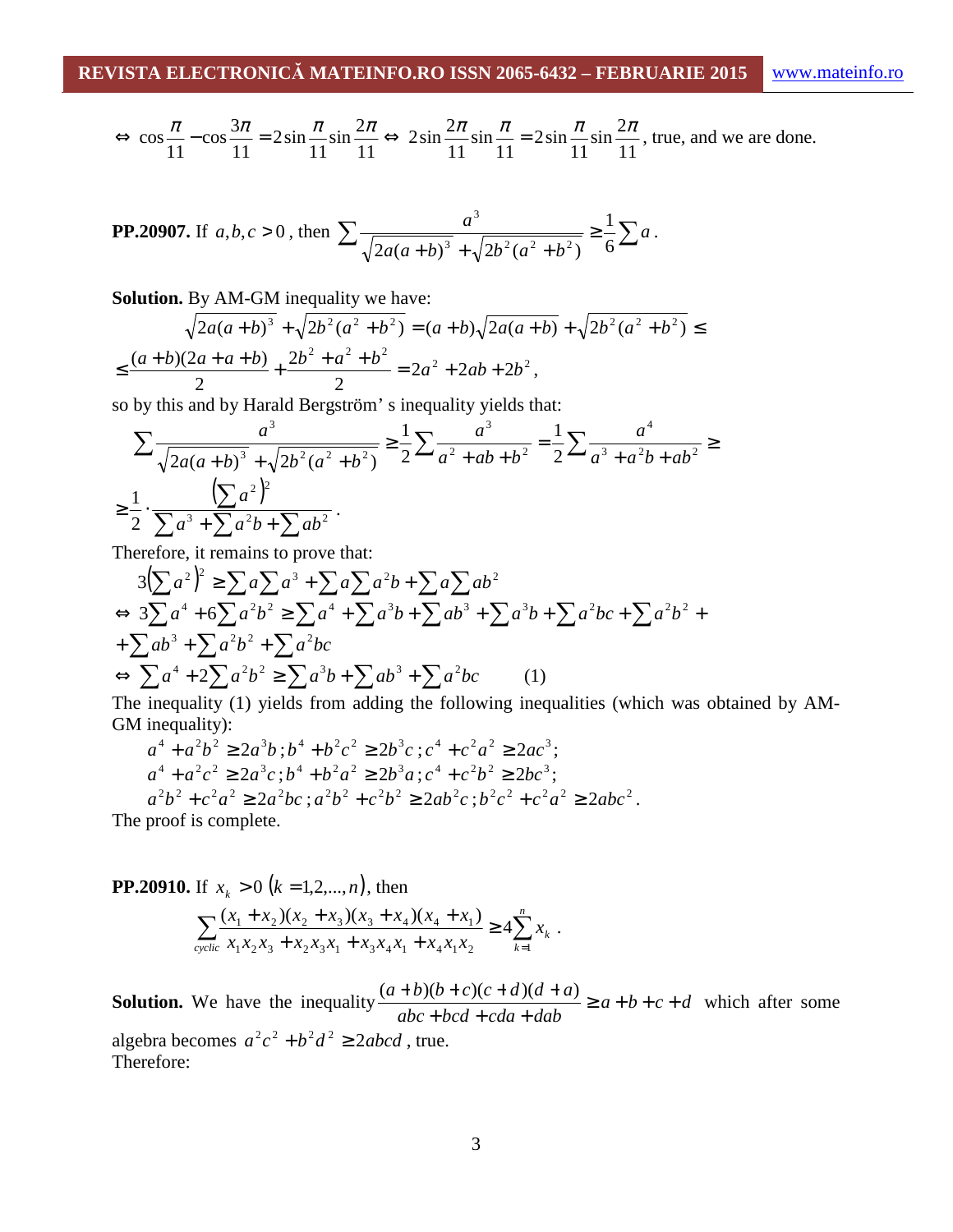$$
\Leftrightarrow \cos\frac{\pi}{11} - \cos\frac{3\pi}{11} = 2\sin\frac{\pi}{11}\sin\frac{2\pi}{11} \Leftrightarrow 2\sin\frac{2\pi}{11}\sin\frac{\pi}{11} = 2\sin\frac{\pi}{11}\sin\frac{2\pi}{11}
$$
, true, and we are done.

**PP.20907.** If 
$$
a, b, c > 0
$$
, then 
$$
\sum \frac{a^3}{\sqrt{2a(a+b)^3} + \sqrt{2b^2(a^2+b^2)}} \ge \frac{1}{6}\sum a.
$$

**Solution.** By AM-GM inequality we have:

$$
\sqrt{2a(a+b)^3} + \sqrt{2b^2(a^2+b^2)} = (a+b)\sqrt{2a(a+b)} + \sqrt{2b^2(a^2+b^2)} \le
$$
  

$$
\le \frac{(a+b)(2a+a+b)}{2} + \frac{2b^2+a^2+b^2}{2} = 2a^2 + 2ab + 2b^2,
$$

so by this and by Harald Bergström' s inequality yields that:

$$
\sum \frac{a^3}{\sqrt{2a(a+b)^3} + \sqrt{2b^2(a^2+b^2)}} \ge \frac{1}{2} \sum \frac{a^3}{a^2 + ab + b^2} = \frac{1}{2} \sum \frac{a^4}{a^3 + a^2b + ab^2} \ge \frac{1}{2} \cdot \frac{\left(\sum a^2\right)^2}{\sum a^3 + \sum a^2b + \sum ab^2}.
$$

Therefore, it remains to prove that:

$$
3(\sum a^2)^2 \ge \sum a \sum a^3 + \sum a \sum a^2 b + \sum a \sum ab^2
$$
  
\n
$$
\Leftrightarrow 3\sum a^4 + 6\sum a^2 b^2 \ge \sum a^4 + \sum a^3 b + \sum ab^3 + \sum a^2 b + \sum a^2 b^2 + \sum ab^3 + \sum a^2 b^2 + \sum a^2 b^2
$$
  
\n
$$
\Leftrightarrow \sum a^4 + 2\sum a^2 b^2 \ge \sum a^3 b + \sum ab^3 + \sum a^2 bc
$$
 (1)

The inequality (1) yields from adding the following inequalities (which was obtained by AM-GM inequality):

$$
a^{4} + a^{2}b^{2} \ge 2a^{3}b
$$
;  $b^{4} + b^{2}c^{2} \ge 2b^{3}c$ ;  $c^{4} + c^{2}a^{2} \ge 2ac^{3}$ ;  
\n $a^{4} + a^{2}c^{2} \ge 2a^{3}c$ ;  $b^{4} + b^{2}a^{2} \ge 2b^{3}a$ ;  $c^{4} + c^{2}b^{2} \ge 2bc^{3}$ ;  
\n $a^{2}b^{2} + c^{2}a^{2} \ge 2a^{2}bc$ ;  $a^{2}b^{2} + c^{2}b^{2} \ge 2ab^{2}c$ ;  $b^{2}c^{2} + c^{2}a^{2} \ge 2abc^{2}$ .  
\nThe proof is complete

The proof is complete.

**PP.20910.** If 
$$
x_k > 0
$$
 ( $k = 1, 2, ..., n$ ), then  

$$
\sum_{\text{cyclic}} \frac{(x_1 + x_2)(x_2 + x_3)(x_3 + x_4)(x_4 + x_1)}{x_1 x_2 x_3 + x_2 x_3 x_1 + x_3 x_4 x_1 + x_4 x_1 x_2} \ge 4 \sum_{k=1}^n x_k
$$

**Solution.** We have the inequality  $\frac{(a+b)(b+c)(c+a)(a+b)}{b+c+d} \ge a+b+c+d$ *abc bcd cda dab*  $\frac{a+b}{b+c+c+c+d+d+d+1} \ge a+b+c+$  $+ bcd + cda +$  $\frac{(a+b)(b+c)(c+d)(d+a)}{c} \geq a+b+c+d$  which after some

.

algebra becomes  $a^2c^2 + b^2d^2 \ge 2abcd$ , true. Therefore: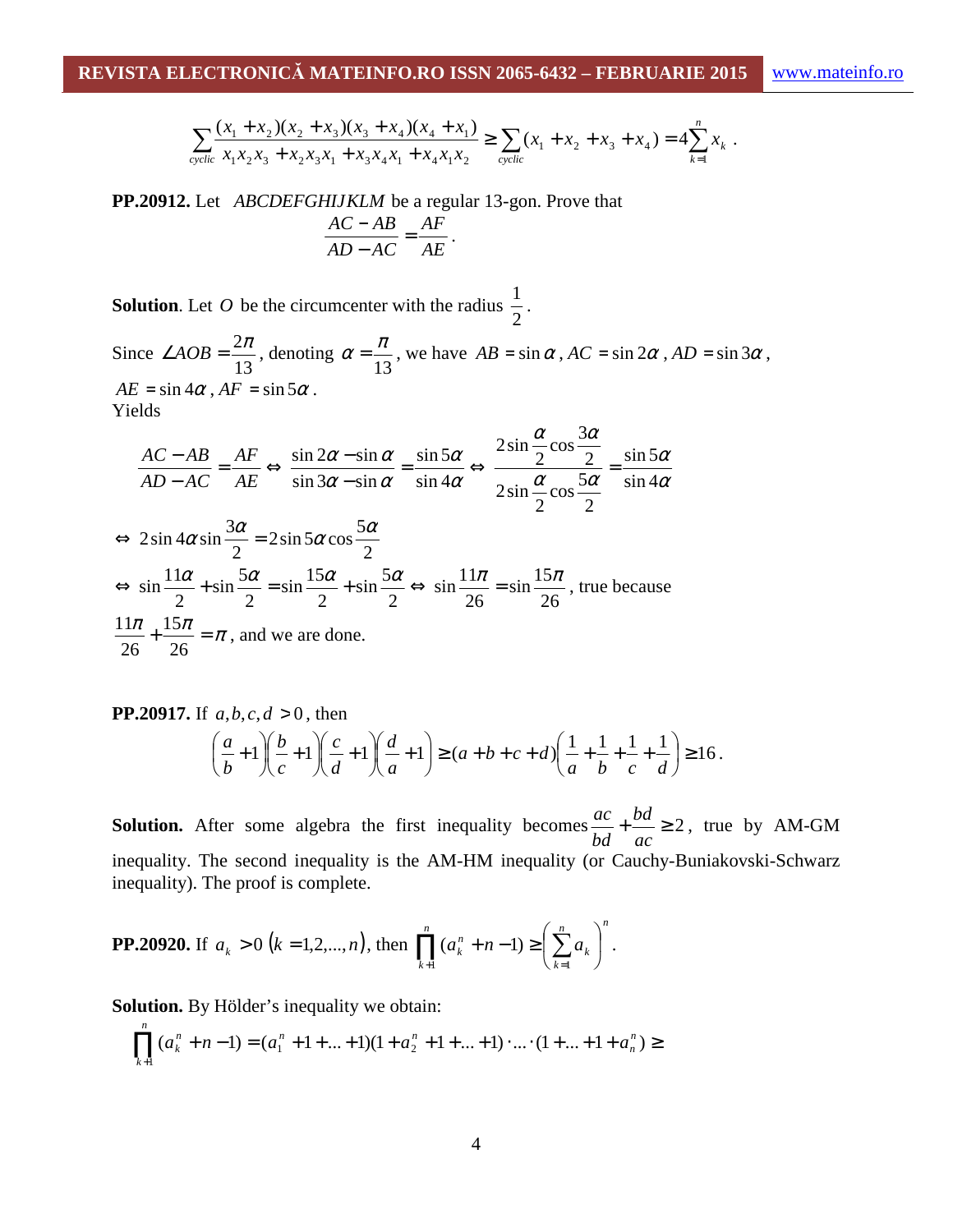$$
\sum_{\text{cyclic}} \frac{(x_1 + x_2)(x_2 + x_3)(x_3 + x_4)(x_4 + x_1)}{x_1 x_2 x_3 + x_2 x_3 x_1 + x_3 x_4 x_1 + x_4 x_1 x_2} \ge \sum_{\text{cyclic}} (x_1 + x_2 + x_3 + x_4) = 4 \sum_{k=1}^n x_k.
$$

**PP.20912.** Let *ABCDEFGHIJKLM* be a regular 13-gon. Prove that *AE AF AD AC*  $\frac{AC - AB}{\sqrt{BC}} =$ −  $\frac{-AB}{\sqrt{B}} = \frac{AF}{\sqrt{F}}$ .

**Solution**. Let *O* be the circumcenter with the radius 2  $\frac{1}{2}$ .

Since 13  $\angle AOB = \frac{2\pi}{12}$ , denoting 13  $\alpha = \frac{\pi}{4}$ , we have  $AB = \sin \alpha$ ,  $AC = \sin 2\alpha$ ,  $AD = \sin 3\alpha$ ,  $AE = \sin 4\alpha$ ,  $AF = \sin 5\alpha$ . Yields

$$
\frac{AC - AB}{AD - AC} = \frac{AF}{AE} \Leftrightarrow \frac{\sin 2\alpha - \sin \alpha}{\sin 3\alpha - \sin \alpha} = \frac{\sin 5\alpha}{\sin 4\alpha} \Leftrightarrow \frac{2\sin \frac{\alpha}{2}\cos \frac{3\alpha}{2}}{2\sin \frac{\alpha}{2}\cos \frac{5\alpha}{2}} = \frac{\sin 5\alpha}{\sin 4\alpha}
$$
  

$$
\Leftrightarrow 2\sin 4\alpha \sin \frac{3\alpha}{2} = 2\sin 5\alpha \cos \frac{5\alpha}{2}
$$
  

$$
\Leftrightarrow \sin \frac{11\alpha}{2} + \sin \frac{5\alpha}{2} = \sin \frac{15\alpha}{2} + \sin \frac{5\alpha}{2} \Leftrightarrow \sin \frac{11\pi}{26} = \sin \frac{15\pi}{26}, \text{ true because}
$$
  

$$
\frac{11\pi}{26} + \frac{15\pi}{26} = \pi, \text{ and we are done.}
$$

**PP.20917.** If 
$$
a, b, c, d > 0
$$
, then  
\n
$$
\left(\frac{a}{b} + 1\right)\left(\frac{b}{c} + 1\right)\left(\frac{c}{d} + 1\right) \ge (a + b + c + d)\left(\frac{1}{a} + \frac{1}{b} + \frac{1}{c} + \frac{1}{d}\right) \ge 16.
$$

**Solution.** After some algebra the first inequality becomes  $\frac{ac}{1} + \frac{ba}{2} \ge 2$ *ac bd bd*  $\frac{ac}{dx} + \frac{bd}{dx} \ge 2$ , true by AM-GM inequality. The second inequality is the AM-HM inequality (or Cauchy-Buniakovski-Schwarz inequality). The proof is complete.

**PP.20920.** If 
$$
a_k > 0
$$
 ( $k = 1, 2, ..., n$ ), then 
$$
\prod_{k=1}^{n} (a_k^n + n - 1) \ge \left(\sum_{k=1}^{n} a_k\right)^n.
$$

**Solution.** By Hölder's inequality we obtain:

$$
\prod_{k=1}^{n} (a_k^n + n - 1) = (a_1^n + 1 + \dots + 1)(1 + a_2^n + 1 + \dots + 1) \cdot \dots \cdot (1 + \dots + 1 + a_n^n) \ge
$$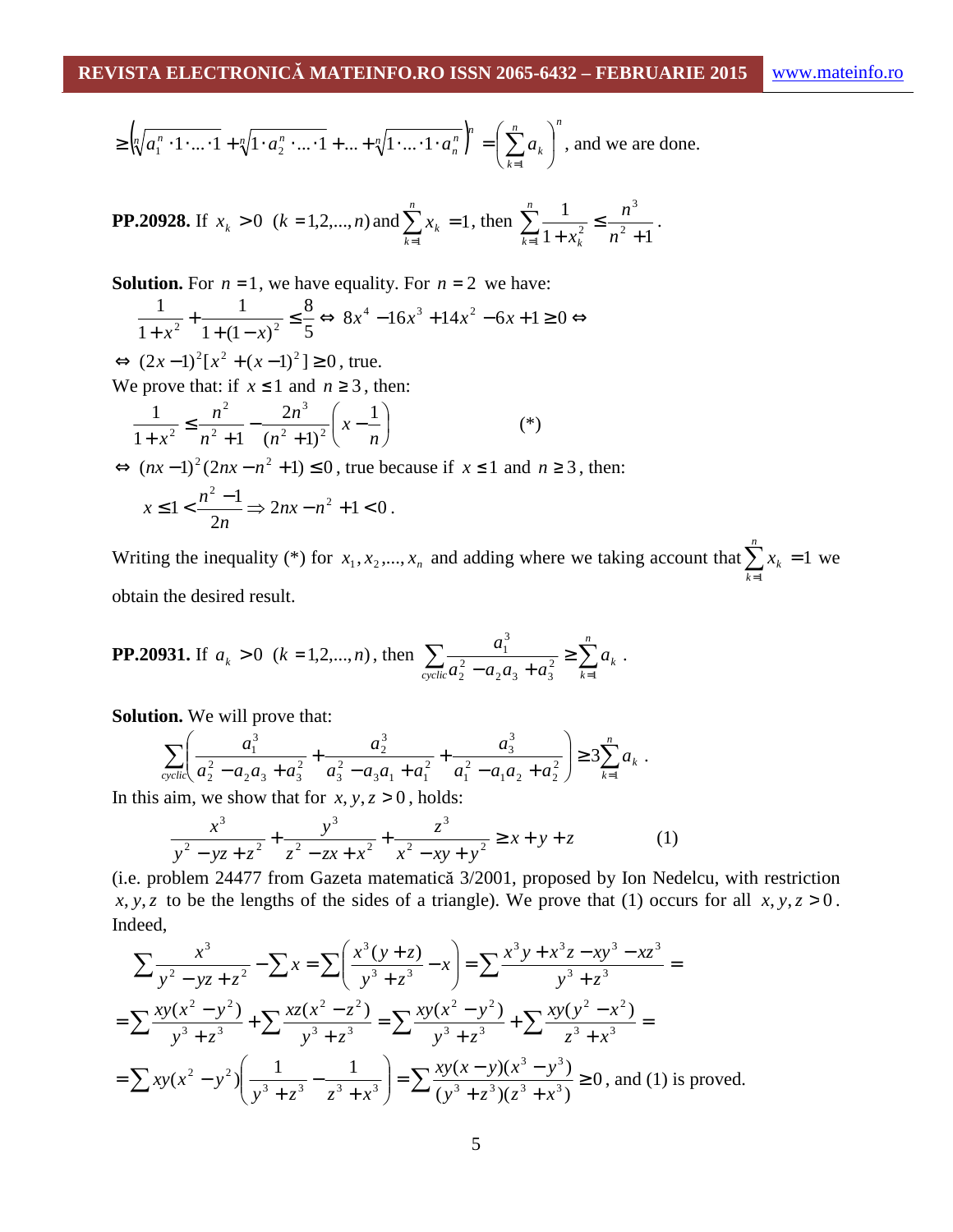$$
\geq \left(\sqrt[n]{a_1^n \cdot 1 \cdot \ldots \cdot 1} + \sqrt[n]{1 \cdot a_2^n \cdot \ldots \cdot 1} + \ldots + \sqrt[n]{1 \cdot \ldots \cdot 1 \cdot a_n^n}\right)^n = \left(\sum_{k=1}^n a_k\right)^n
$$
, and we are done.

**PP.20928.** If 
$$
x_k > 0
$$
 ( $k = 1, 2, ..., n$ ) and  $\sum_{k=1}^{n} x_k = 1$ , then  $\sum_{k=1}^{n} \frac{1}{1 + x_k^2} \le \frac{n^3}{n^2 + 1}$ .

**Solution.** For  $n = 1$ , we have equality. For  $n = 2$  we have:

$$
\frac{1}{1+x^2} + \frac{1}{1+(1-x)^2} \le \frac{8}{5} \Leftrightarrow 8x^4 - 16x^3 + 14x^2 - 6x + 1 \ge 0 \Leftrightarrow
$$

 $\Leftrightarrow$   $(2x-1)^2[x^2 + (x-1)^2] \ge 0$ , true.

We prove that: if  $x \le 1$  and  $n \ge 3$ , then:

$$
\frac{1}{1+x^2} \le \frac{n^2}{n^2+1} - \frac{2n^3}{(n^2+1)^2} \left(x - \frac{1}{n}\right)
$$
 (\*)

 $\Leftrightarrow$   $(nx-1)^2(2nx-n^2+1) \le 0$ , true because if  $x \le 1$  and  $n \ge 3$ , then:  $x \leq 1 < \frac{n-1}{2} \Rightarrow 2nx - n^2 + 1 < 0$ 2  $\leq 1 < \frac{n^2 - 1}{2} \Rightarrow 2nx - n^2 + 1 <$ *n*  $x \le 1 < \frac{n^2 - 1}{2} \Rightarrow 2nx - n^2 + 1 < 0$ .

Writing the inequality (\*) for  $x_1, x_2, ..., x_n$  and adding where we taking account that  $\sum x_k = 1$ 1  $\sum x_k =$ = *n k*  $x_k = 1$  we obtain the desired result.

**PP.20931.** If 
$$
a_k > 0
$$
 ( $k = 1, 2, ..., n$ ), then 
$$
\sum_{\text{cyclic}} \frac{a_1^3}{a_2^2 - a_2 a_3 + a_3^2} \ge \sum_{k=1}^n a_k.
$$

**Solution.** We will prove that:

$$
\sum_{\text{cyclic}} \left( \frac{a_1^3}{a_2^2 - a_2 a_3 + a_3^2} + \frac{a_2^3}{a_3^2 - a_3 a_1 + a_1^2} + \frac{a_3^3}{a_1^2 - a_1 a_2 + a_2^2} \right) \ge 3 \sum_{k=1}^n a_k.
$$

In this aim, we show that for  $x, y, z > 0$ , holds:

$$
\frac{x^3}{y^2 - yz + z^2} + \frac{y^3}{z^2 - zx + x^2} + \frac{z^3}{x^2 - xy + y^2} \ge x + y + z \tag{1}
$$

(i.e. problem 24477 from Gazeta matematică 3/2001, proposed by Ion Nedelcu, with restriction *x*, *y*, *z* to be the lengths of the sides of a triangle). We prove that (1) occurs for all *x*, *y*, *z* > 0. Indeed,

$$
\sum \frac{x^3}{y^2 - yz + z^2} - \sum x = \sum \left( \frac{x^3(y + z)}{y^3 + z^3} - x \right) = \sum \frac{x^3y + x^3z - xy^3 - xz^3}{y^3 + z^3} =
$$
  
= 
$$
\sum \frac{xy(x^2 - y^2)}{y^3 + z^3} + \sum \frac{xz(x^2 - z^2)}{y^3 + z^3} = \sum \frac{xy(x^2 - y^2)}{y^3 + z^3} + \sum \frac{xy(y^2 - x^2)}{z^3 + x^3} =
$$
  
= 
$$
\sum xy(x^2 - y^2) \left( \frac{1}{y^3 + z^3} - \frac{1}{z^3 + x^3} \right) = \sum \frac{xy(x - y)(x^3 - y^3)}{(y^3 + z^3)(z^3 + x^3)} \ge 0, \text{ and (1) is proved.}
$$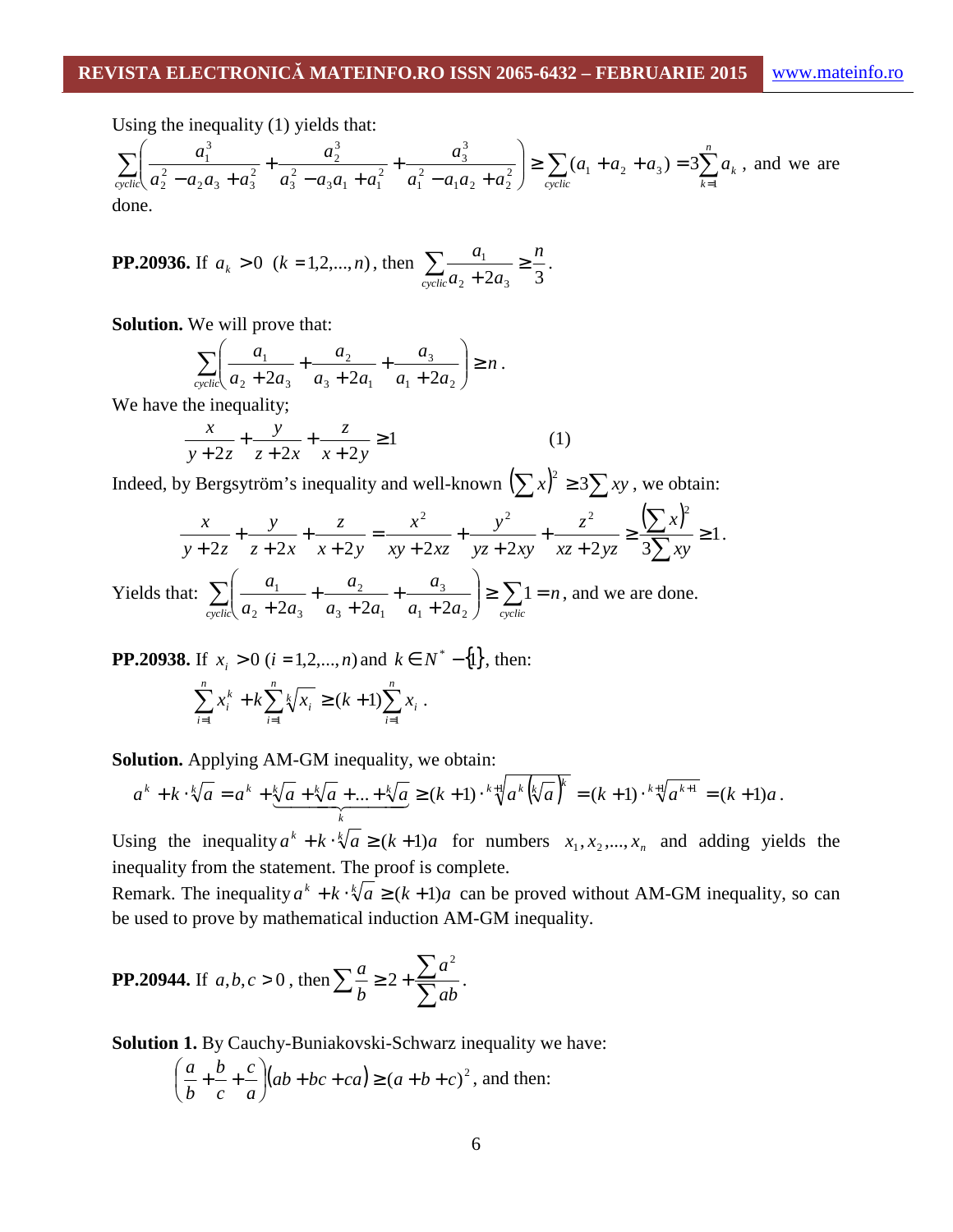Using the inequality (1) yields that:

$$
\sum_{\text{cyclic}} \left( \frac{a_1^3}{a_2^2 - a_2 a_3 + a_3^2} + \frac{a_2^3}{a_3^2 - a_3 a_1 + a_1^2} + \frac{a_3^3}{a_1^2 - a_1 a_2 + a_2^2} \right) \ge \sum_{\text{cyclic}} (a_1 + a_2 + a_3) = 3 \sum_{k=1}^n a_k
$$
, and we are done.

**PP.20936.** If 
$$
a_k > 0
$$
 ( $k = 1, 2, ..., n$ ), then 
$$
\sum_{\text{cyclic}} \frac{a_1}{a_2 + 2a_3} \ge \frac{n}{3}.
$$

**Solution.** We will prove that:

$$
\sum_{\text{cyclic}} \left( \frac{a_1}{a_2 + 2a_3} + \frac{a_2}{a_3 + 2a_1} + \frac{a_3}{a_1 + 2a_2} \right) \ge n \, .
$$

We have the inequality;

$$
\frac{x}{y+2z} + \frac{y}{z+2x} + \frac{z}{x+2y} \ge 1
$$
 (1)

Indeed, by Bergsytröm's inequality and well-known  $(\sum x)^2 \ge 3\sum xy$ , we obtain:

$$
\frac{x}{y+2z} + \frac{y}{z+2x} + \frac{z}{x+2y} = \frac{x^2}{xy+2xz} + \frac{y^2}{yz+2xy} + \frac{z^2}{xz+2yz} \ge \frac{(\sum x)^2}{3\sum xy} \ge 1.
$$

Yields that:  $\sum \left| \frac{a_1}{a_2} + \frac{a_2}{a_3} + \frac{a_3}{a_3} \right| \ge \sum 1 = n$  $a_1 + 2a$ *a*  $a_3 + 2a$ *a*  $a_2 + 2a$ *a*  $\sum_{\text{cyclic}} \left( \frac{a_1}{a_2 + 2a_3} + \frac{a_2}{a_3 + 2a_1} + \frac{a_3}{a_1 + 2a_2} \right) \ge \sum_{\text{cyclic}} 1 =$ J  $\backslash$  $\overline{\phantom{a}}$ Y ſ + + + +  $\sum_{\text{velic}} \left( \frac{a_1}{a_2 + 2a_3} + \frac{a_2}{a_3 + 2a_1} + \frac{a_3}{a_1 + 2a_2} \right) \ge \sum_{\text{cyclic}} 1$  $2a_3$   $a_3 + 2a_1$   $a_1 + 2a_2$ 3  $3 + 2u_1$ 2 2  $\mu$   $\mu$ <sub>3</sub>  $\frac{1}{2} + \frac{u_2}{2} + \frac{u_3}{2}$   $\ge \sum 1 = n$ , and we are done.

**PP.20938.** If  $x_i > 0$  ( $i = 1, 2, ..., n$ ) and  $k \in N^* - \{1\}$ , then:  $\sum_{i=1}^{n} x_i^k + k \sum_{i=1}^{n} \sqrt[k]{x_i} \ge (k+1) \sum_{i=1}^{n}$  $i=1$   $i=1$   $i=$  $+ k \sum k / x_i \geq (k +$ *n i i n i*  $\sqrt[k]{x_i}$ *n i k*  $x_i^k + k \sum_k k / x_i \ge (k+1) \sum_k x_i$  $i=1$   $i=1$  $(k+1) \sum x_i$ .

**Solution.** Applying AM-GM inequality, we obtain:

$$
a^k + k \cdot \sqrt[k]{a} = a^k + \underbrace{\sqrt[k]{a} + \sqrt[k]{a} + \dots + \sqrt[k]{a}}_{k} \ge (k+1) \cdot \sqrt[k+1]{a^k \left(\sqrt[k]{a}\right)^k} = (k+1) \cdot \sqrt[k+1]{a^{k+1}} = (k+1)a.
$$

Using the inequality  $a^k + k \cdot \sqrt[k]{a} \ge (k+1)a$  for numbers  $x_1, x_2, ..., x_n$  and adding yields the inequality from the statement. The proof is complete.

Remark. The inequality  $a^k + k \cdot \sqrt[k]{a} \ge (k+1)a$  can be proved without AM-GM inequality, so can be used to prove by mathematical induction AM-GM inequality.

**PP.20944.** If 
$$
a, b, c > 0
$$
, then  $\sum_{b} \frac{a}{b} \ge 2 + \frac{\sum_{b} a^{2}}{\sum_{c} ab}$ .

**Solution 1.** By Cauchy-Buniakovski-Schwarz inequality we have:

$$
\left(\frac{a}{b} + \frac{b}{c} + \frac{c}{a}\right)(ab + bc + ca) \ge (a + b + c)^2
$$
, and then: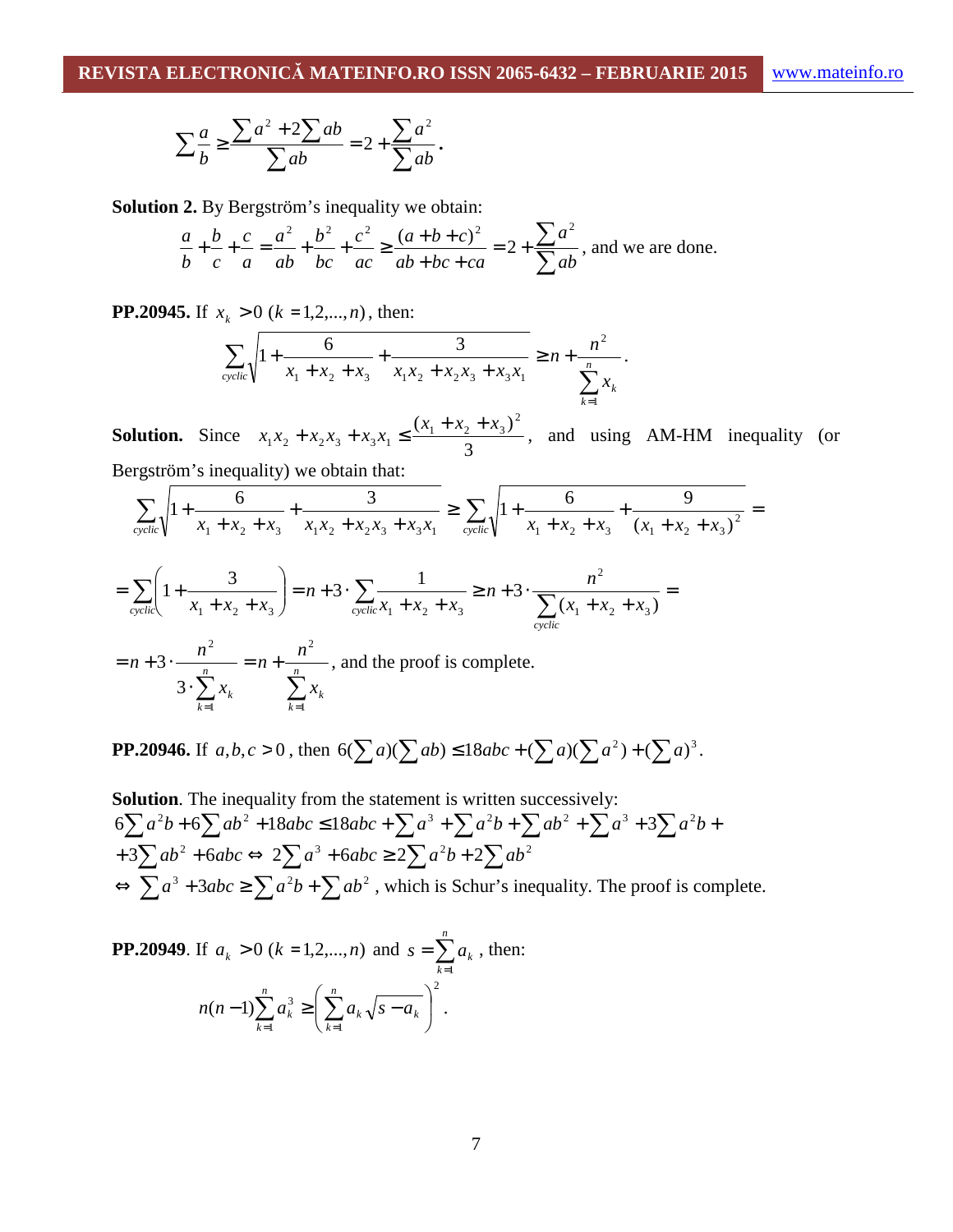$$
\sum_{b} \frac{a}{b} \ge \frac{\sum a^2 + 2\sum ab}{\sum ab} = 2 + \frac{\sum a^2}{\sum ab}.
$$

**Solution 2.** By Bergström's inequality we obtain:

$$
\frac{a}{b} + \frac{b}{c} + \frac{c}{a} = \frac{a^2}{ab} + \frac{b^2}{bc} + \frac{c^2}{ac} \ge \frac{(a+b+c)^2}{ab+bc+ca} = 2 + \frac{\sum a^2}{\sum ab}
$$
, and we are done.

**PP.20945.** If  $x_k > 0$  ( $k = 1, 2, ..., n$ ), then:

$$
\sum_{\text{cyclic}} \sqrt{1 + \frac{6}{x_1 + x_2 + x_3} + \frac{3}{x_1 x_2 + x_2 x_3 + x_3 x_1}} \ge n + \frac{n^2}{\sum_{k=1}^n x_k}.
$$

**Solution.** Since 3  $(x_1 + x_2 + x_3)^2$  $x_1x_2 + x_2x_3 + x_3x_1 \leq \frac{(x_1 + x_2 + x_3)}{2}$  $x_1 x_2 + x_2 x_3 + x_3 x_1 \leq \frac{(x_1 + x_2 + x_3)^2}{2}$ , and using AM-HM inequality (or Bergström's inequality) we obtain that:

$$
\sum_{\text{cyclic}} \sqrt{1 + \frac{6}{x_1 + x_2 + x_3} + \frac{3}{x_1 x_2 + x_2 x_3 + x_3 x_1}} \ge \sum_{\text{cyclic}} \sqrt{1 + \frac{6}{x_1 + x_2 + x_3} + \frac{9}{(x_1 + x_2 + x_3)^2}} =
$$

$$
= \sum_{\text{cyclic}} \left( 1 + \frac{3}{x_1 + x_2 + x_3} \right) = n + 3 \cdot \sum_{\text{cyclic}} \frac{1}{x_1 + x_2 + x_3} \ge n + 3 \cdot \frac{n^2}{\sum_{\text{cyclic}} (x_1 + x_2 + x_3)} =
$$

$$
= n + 3 \cdot \frac{n^2}{3 \cdot \sum_{k=1}^{n} x_k} = n + \frac{n^2}{\sum_{k=1}^{n} x_k},
$$
 and the proof is complete.

**PP.20946.** If  $a, b, c > 0$ , then  $6(\sum a)(\sum ab) \le 18abc + (\sum a)(\sum a^2) + (\sum a)^3$ .

**Solution**. The inequality from the statement is written successively:  $6\sum a^2b + 6\sum ab^2 + 18abc \le 18abc + \sum a^3 + \sum a^2b + \sum ab^2 + \sum a^3 + 3\sum a^2b +$  $+3\sum ab^2 + 6abc \Leftrightarrow 2\sum a^3 + 6abc \ge 2\sum a^2b + 2\sum ab^2$  $\Leftrightarrow \sum a^3 + 3abc \ge \sum a^2b + \sum ab^2$ , which is Schur's inequality. The proof is complete.

**PP.20949.** If  $a_k > 0$  ( $k = 1, 2, ..., n$ ) and  $s = \sum_{k=1}^{n} a_k$ = = *n k*  $s = \sum a_k$ 1 , then: 2  $\cdot 1 \qquad \qquad k=1$  $(n-1)\sum a_k^3 \geq |\sum a_k\sqrt{s-a_k}|$ J  $\left(\sum_{k=1}^{n} a_k \sqrt{s-a_k}\right)$ l  $(-1)\sum_{k=1}^{n} a_k^3 \ge \sum_{k=1}^{n} a_k \sqrt{s-1}$  $=1$   $\qquad \qquad$   $k=$ *n k*  $k \mathbf{V}$ <sup>3</sup>  $\mathbf{u}_k$ *n k*  $n(n-1)\sum a_k^3 \ge |\sum a_k \sqrt{s-a_k}|$ .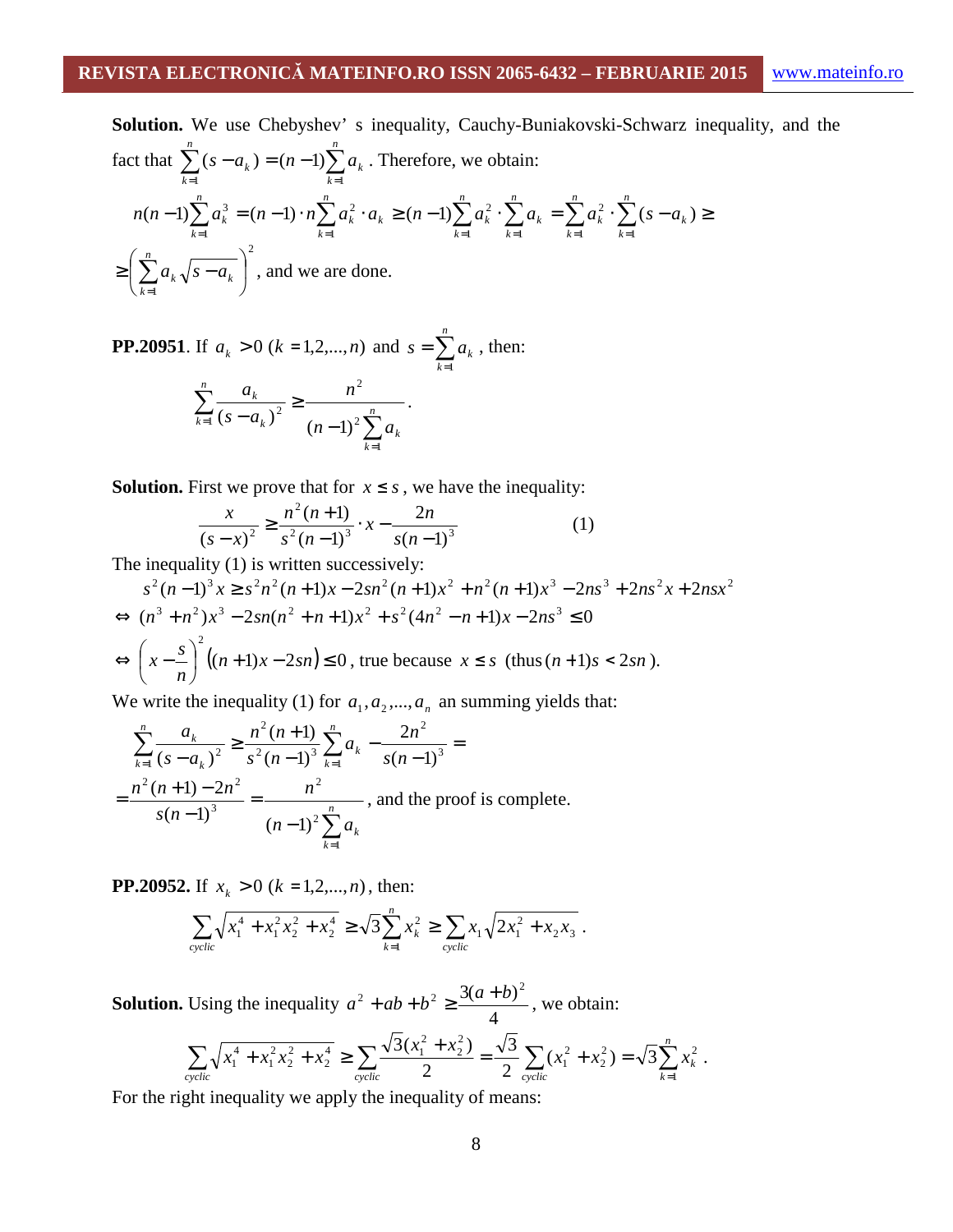**Solution.** We use Chebyshev's inequality, Cauchy-Buniakovski-Schwarz inequality, and the fact that 
$$
\sum_{k=1}^{n} (s - a_k) = (n-1) \sum_{k=1}^{n} a_k
$$
. Therefore, we obtain:  

$$
n(n-1) \sum_{k=1}^{n} a_k^3 = (n-1) \cdot n \sum_{k=1}^{n} a_k^2 \cdot a_k \ge (n-1) \sum_{k=1}^{n} a_k^2 \cdot \sum_{k=1}^{n} a_k = \sum_{k=1}^{n} a_k^2 \cdot \sum_{k=1}^{n} (s - a_k) \ge
$$

$$
\ge \left(\sum_{k=1}^{n} a_k \sqrt{s - a_k}\right)^2
$$
, and we are done.

**PP.20951.** If  $a_k > 0$  ( $k = 1, 2, ..., n$ ) and  $s = \sum_{k=1}^{n}$ = = *n k*  $s = \sum a_k$ 1 , then:  $\sum$  $\sum$ =  $e^{-1}$  (S –  $u_k$ ) (n – ≥  $(-a_k)^2$ <sup>-</sup> *k k n*  $_{k=1}$  (s –  $u_k$ ) *k*  $n-1$ <sup>2</sup> $\sum a$ *n*  $s - a$ *a* 1 2 2  $\int_1^1 (s-a_k)^2$  $(s-a_k)^2$   $(n-1)$ .

**Solution.** First we prove that for  $x \leq s$ , we have the inequality:

$$
\frac{x}{(s-x)^2} \ge \frac{n^2(n+1)}{s^2(n-1)^3} \cdot x - \frac{2n}{s(n-1)^3} \tag{1}
$$

The inequality (1) is written successively:

$$
s^{2}(n-1)^{3}x \geq s^{2}n^{2}(n+1)x - 2sn^{2}(n+1)x^{2} + n^{2}(n+1)x^{3} - 2ns^{3} + 2ns^{2}x + 2nsx^{2}
$$
  
\n
$$
\Leftrightarrow (n^{3} + n^{2})x^{3} - 2sn(n^{2} + n + 1)x^{2} + s^{2}(4n^{2} - n + 1)x - 2ns^{3} \leq 0
$$
  
\n
$$
\Leftrightarrow \left(x - \frac{s}{n}\right)^{2}((n+1)x - 2sn) \leq 0, \text{ true because } x \leq s \text{ (thus } (n+1)s < 2sn).
$$

We write the inequality (1) for  $a_1, a_2, ..., a_n$  an summing yields that:

$$
\sum_{k=1}^{n} \frac{a_k}{(s - a_k)^2} \ge \frac{n^2 (n+1)}{s^2 (n-1)^3} \sum_{k=1}^{n} a_k - \frac{2n^2}{s(n-1)^3} =
$$
  
= 
$$
\frac{n^2 (n+1) - 2n^2}{s(n-1)^3} = \frac{n^2}{(n-1)^2 \sum_{k=1}^{n} a_k}
$$
, and the proof is complete.

**PP.20952.** If  $x_k > 0$  ( $k = 1, 2, ..., n$ ), then:

$$
\sum_{\text{cyclic}} \sqrt{x_1^4 + x_1^2 x_2^2 + x_2^4} \ge \sqrt{3} \sum_{k=1}^n x_k^2 \ge \sum_{\text{cyclic}} x_1 \sqrt{2 x_1^2 + x_2 x_3} \ .
$$

**Solution.** Using the inequality 4  $a^{2} + ab + b^{2} \ge \frac{3(a+b)^{2}}{b}$ , we obtain:

$$
\sum_{\text{cyclic}} \sqrt{x_1^4 + x_1^2 x_2^2 + x_2^4} \ge \sum_{\text{cyclic}} \frac{\sqrt{3}(x_1^2 + x_2^2)}{2} = \frac{\sqrt{3}}{2} \sum_{\text{cyclic}} (x_1^2 + x_2^2) = \sqrt{3} \sum_{k=1}^n x_k^2.
$$

For the right inequality we apply the inequality of means: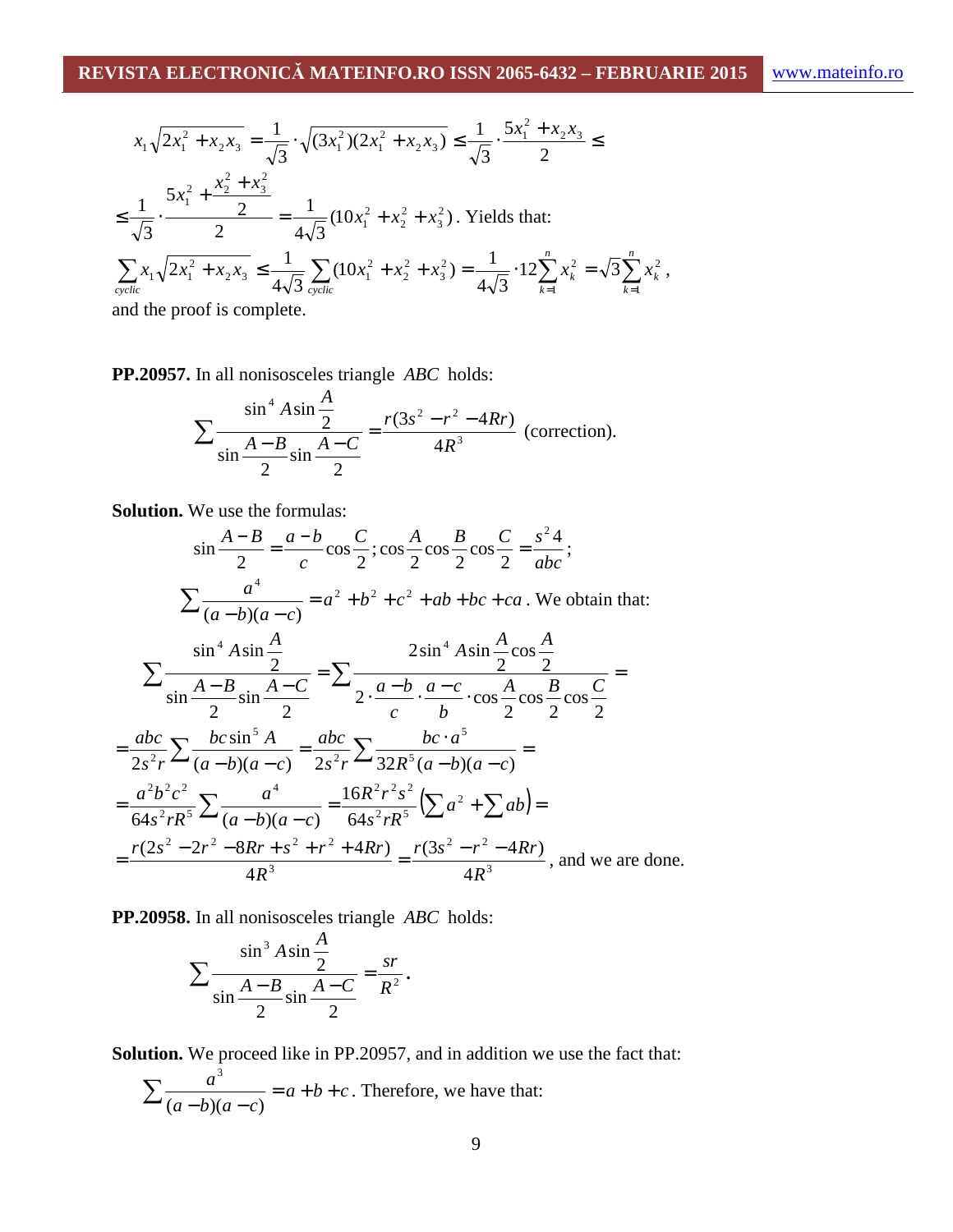*k*

2

$$
x_1\sqrt{2x_1^2 + x_2x_3} = \frac{1}{\sqrt{3}} \cdot \sqrt{(3x_1^2)(2x_1^2 + x_2x_3)} \le \frac{1}{\sqrt{3}} \cdot \frac{5x_1^2 + x_2x_3}{2} \le
$$
  
\n
$$
\le \frac{1}{\sqrt{3}} \cdot \frac{5x_1^2 + \frac{x_2^2 + x_3^2}{2}}{2} = \frac{1}{4\sqrt{3}} (10x_1^2 + x_2^2 + x_3^2).
$$
 Yields that:  
\n
$$
\sum_{\text{cyclic}} x_1\sqrt{2x_1^2 + x_2x_3} \le \frac{1}{4\sqrt{3}} \sum_{\text{cyclic}} (10x_1^2 + x_2^2 + x_3^2) = \frac{1}{4\sqrt{3}} \cdot 12 \sum_{k=1}^n x_k^2 = \sqrt{3} \sum_{k=1}^n x_k^2,
$$
  
\nand the proof is complete.

**PP.20957.** In all nonisosceles triangle *ABC* holds:

$$
\sum \frac{\sin^4 A \sin \frac{A}{2}}{\sin \frac{A-B}{2} \sin \frac{A-C}{2}} = \frac{r(3s^2 - r^2 - 4Rr)}{4R^3}
$$
 (correction).

**Solution.** We use the formulas:

$$
\sin\frac{A-B}{2} = \frac{a-b}{c}\cos\frac{C}{2}; \cos\frac{A}{2}\cos\frac{B}{2}\cos\frac{C}{2} = \frac{s^2 4}{abc};
$$
\n
$$
\sum \frac{a^4}{(a-b)(a-c)} = a^2 + b^2 + c^2 + ab + bc + ca. \text{ We obtain that:}
$$
\n
$$
\sum \frac{\sin^4 A \sin\frac{A}{2}}{\sin\frac{A-B}{2}\sin\frac{A-C}{2}} = \sum \frac{2\sin^4 A \sin\frac{A}{2}\cos\frac{A}{2}}{2 \cdot \frac{a-b}{c} \cdot \frac{a-c}{b} \cdot \cos\frac{A}{2}\cos\frac{B}{2}\cos\frac{C}{2}} =
$$
\n
$$
= \frac{abc}{2s^2r} \sum \frac{bc\sin^5 A}{(a-b)(a-c)} = \frac{abc}{2s^2r} \sum \frac{bc \cdot a^5}{32R^5(a-b)(a-c)} =
$$
\n
$$
= \frac{a^2b^2c^2}{64s^2rR^5} \sum \frac{a^4}{(a-b)(a-c)} = \frac{16R^2r^2s^2}{64s^2rR^5} (\sum a^2 + \sum ab) =
$$
\n
$$
= \frac{r(2s^2 - 2r^2 - 8Rr + s^2 + r^2 + 4Rr)}{4R^3} = \frac{r(3s^2 - r^2 - 4Rr)}{4R^3}, \text{ and we are done.}
$$

**PP.20958.** In all nonisosceles triangle *ABC* holds:

$$
\sum \frac{\sin^3 A \sin \frac{A}{2}}{\sin \frac{A-B}{2} \sin \frac{A-C}{2}} = \frac{sr}{R^2}.
$$

**Solution.** We proceed like in PP.20957, and in addition we use the fact that:

$$
\sum \frac{a^3}{(a-b)(a-c)} = a+b+c
$$
. Therefore, we have that: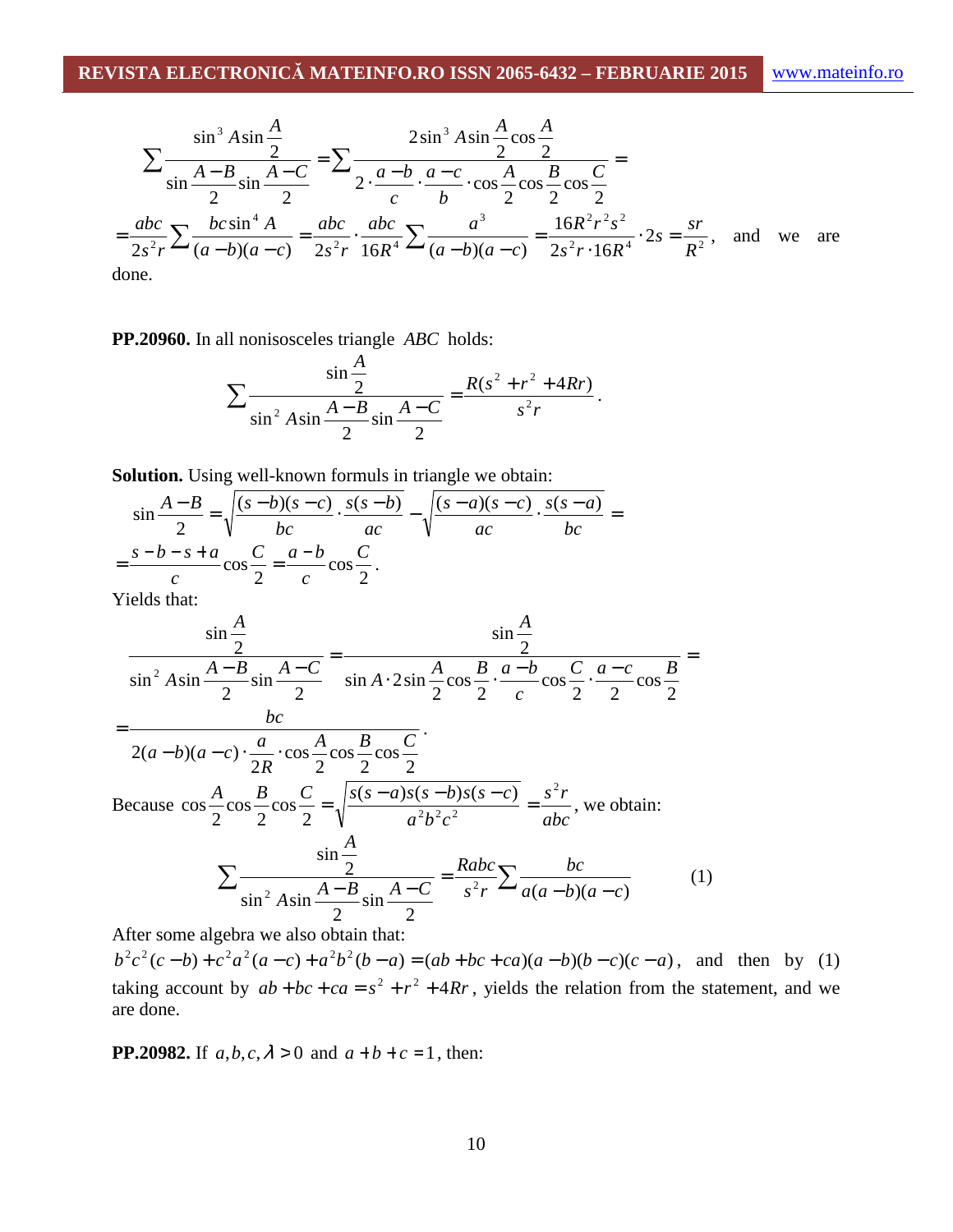$$
\sum \frac{\sin^3 A \sin \frac{A}{2}}{\sin \frac{A-B}{2} \sin \frac{A-C}{2}} = \sum \frac{2 \sin^3 A \sin \frac{A}{2} \cos \frac{A}{2}}{2 \cdot \frac{a-b}{c} \cdot \frac{a-c}{b} \cdot \cos \frac{A}{2} \cos \frac{B}{2} \cos \frac{C}{2}} =
$$
  
=  $\frac{abc}{2s^2 r} \sum \frac{bc \sin^4 A}{(a-b)(a-c)} = \frac{abc}{2s^2 r} \cdot \frac{abc}{16R^4} \sum \frac{a^3}{(a-b)(a-c)} = \frac{16R^2 r^2 s^2}{2s^2 r \cdot 16R^4} \cdot 2s = \frac{sr}{R^2}$ , and we are

done.

#### **PP.20960.** In all nonisosceles triangle *ABC* holds:

$$
\sum \frac{\sin \frac{A}{2}}{\sin^2 A \sin \frac{A-B}{2} \sin \frac{A-C}{2}} = \frac{R(s^2 + r^2 + 4Rr)}{s^2r}.
$$

**Solution.** Using well-known formuls in triangle we obtain:

$$
\sin\frac{A-B}{2} = \sqrt{\frac{(s-b)(s-c)}{bc} \cdot \frac{s(s-b)}{ac}} - \sqrt{\frac{(s-a)(s-c)}{ac} \cdot \frac{s(s-a)}{bc}} = \frac{s-b-s+a}{c}\cos\frac{C}{2} = \frac{a-b}{c}\cos\frac{C}{2}.
$$

Yields that:

$$
\frac{\sin\frac{A}{2}}{\sin^2 A \sin\frac{A-B}{2}\sin\frac{A-C}{2}} = \frac{\sin A}{\sin A \cdot 2\sin\frac{A}{2}\cos\frac{B}{2} \cdot \frac{a-b}{c}\cos\frac{C}{2} \cdot \frac{a-c}{2}\cos\frac{B}{2}} =
$$
\n
$$
= \frac{bc}{2(a-b)(a-c)\cdot\frac{a}{2R}\cdot\cos\frac{A}{2}\cos\frac{B}{2}\cos\frac{C}{2}}.
$$
\nBecause  $\cos\frac{A}{2}\cos\frac{B}{2}\cos\frac{C}{2} = \sqrt{\frac{s(s-a)s(s-b)s(s-c)}{a^2b^2c^2}} = \frac{s^2r}{abc}$ , we obtain:  
\n
$$
\sum \frac{\sin\frac{A}{2}}{\sin^2 A \sin\frac{A-B}{2}\sin\frac{A-C}{2}} = \frac{Rabc}{s^2r}\sum \frac{bc}{a(a-b)(a-c)}
$$
(1)

After some algebra we also obtain that:

 $b<sup>2</sup>c<sup>2</sup>(c-b)+c<sup>2</sup>a<sup>2</sup>(a-c)+a<sup>2</sup>b<sup>2</sup>(b-a) = (ab+bc+ca)(a-b)(b-c)(c-a)$ , and then by (1) taking account by  $ab + bc + ca = s^2 + r^2 + 4Rr$ , yields the relation from the statement, and we are done.

**PP.20982.** If  $a, b, c, \lambda > 0$  and  $a + b + c = 1$ , then: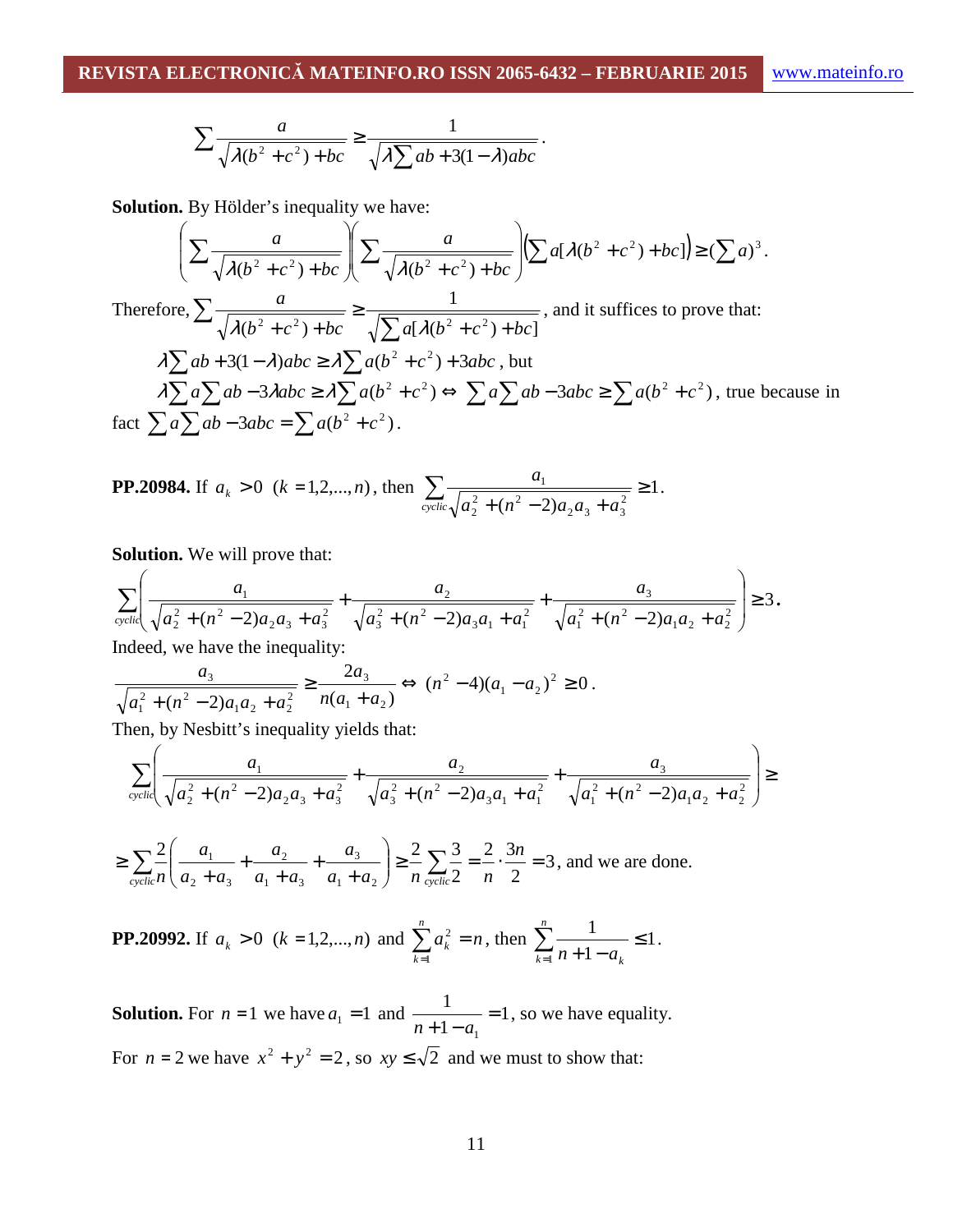$$
\sum \frac{a}{\sqrt{\lambda(b^2+c^2)+bc}} \ge \frac{1}{\sqrt{\lambda\sum ab+3(1-\lambda)abc}}.
$$

**Solution.** By Hölder's inequality we have:

$$
\left(\sum \frac{a}{\sqrt{\lambda(b^2+c^2)+bc}}\right)\left(\sum \frac{a}{\sqrt{\lambda(b^2+c^2)+bc}}\right)\left(\sum a[\lambda(b^2+c^2)+bc]\right) \geq (\sum a)^3.
$$
  
Therefore  $\sum a$ 

Therefore, 
$$
\sum \frac{a}{\sqrt{\lambda(b^2+c^2)+bc}} \ge \frac{1}{\sqrt{\sum a[\lambda(b^2+c^2)+bc]}},
$$
 and it suffices to prove that:  

$$
\lambda \sum ab + 3(1-\lambda)abc \ge \lambda \sum a(b^2+c^2) + 3abc
$$
, but  

$$
\lambda \sum a \sum ab - 3\lambda abc \ge \lambda \sum a(b^2+c^2) \Leftrightarrow \sum a \sum ab - 3abc \ge \sum a(b^2+c^2)
$$
, true because in  
fact 
$$
\sum a \sum ab - 3abc = \sum a(b^2+c^2).
$$

**PP.20984.** If 
$$
a_k > 0
$$
 ( $k = 1, 2, ..., n$ ), then 
$$
\sum_{\text{cyclic}} \frac{a_1}{\sqrt{a_2^2 + (n^2 - 2)a_2 a_3 + a_3^2}} \ge 1.
$$

**Solution.** We will prove that:

$$
\sum_{\text{cyclic}} \left( \frac{a_1}{\sqrt{a_2^2 + (n^2 - 2)a_2 a_3 + a_3^2}} + \frac{a_2}{\sqrt{a_3^2 + (n^2 - 2)a_3 a_1 + a_1^2}} + \frac{a_3}{\sqrt{a_1^2 + (n^2 - 2)a_1 a_2 + a_2^2}} \right) \ge 3.
$$

Indeed, we have the inequality:

$$
\frac{a_3}{\sqrt{a_1^2 + (n^2 - 2)a_1 a_2 + a_2^2}} \ge \frac{2a_3}{n(a_1 + a_2)} \Leftrightarrow (n^2 - 4)(a_1 - a_2)^2 \ge 0.
$$

Then, by Nesbitt's inequality yields that:

$$
\sum_{\text{cyclic}} \left( \frac{a_1}{\sqrt{a_2^2 + (n^2 - 2)a_2 a_3 + a_3^2}} + \frac{a_2}{\sqrt{a_3^2 + (n^2 - 2)a_3 a_1 + a_1^2}} + \frac{a_3}{\sqrt{a_1^2 + (n^2 - 2)a_1 a_2 + a_2^2}} \right) \ge
$$

$$
\geq \sum_{\text{cyclic}} \frac{2}{n} \left( \frac{a_1}{a_2 + a_3} + \frac{a_2}{a_1 + a_3} + \frac{a_3}{a_1 + a_2} \right) \geq \frac{2}{n} \sum_{\text{cyclic}} \frac{3}{2} = \frac{2}{n} \cdot \frac{3n}{2} = 3 \text{, and we are done.}
$$

**PP.20992.** If  $a_k > 0$   $(k = 1, 2, ..., n)$  and  $\sum a_k^2 = n$ *n k*  $\sum^n a_k^2 =$  $=1$  $\sum_{k=1}^{2}$  = n, then  $\sum_{k=1}^{n}$  = 1 1 1 1 ≤  $\sum_{k=1}^{n} \frac{1}{n+1}$ = *n*  $\sum_{k=1}^{\infty} n + 1 - a_k$ .

**Solution.** For  $n = 1$  we have  $a_1 = 1$  and  $\frac{1}{n+1-a_1} = 1$ 1 1 =  $n+1-a$ , so we have equality. For  $n = 2$  we have  $x^2 + y^2 = 2$ , so  $xy \le \sqrt{2}$  and we must to show that: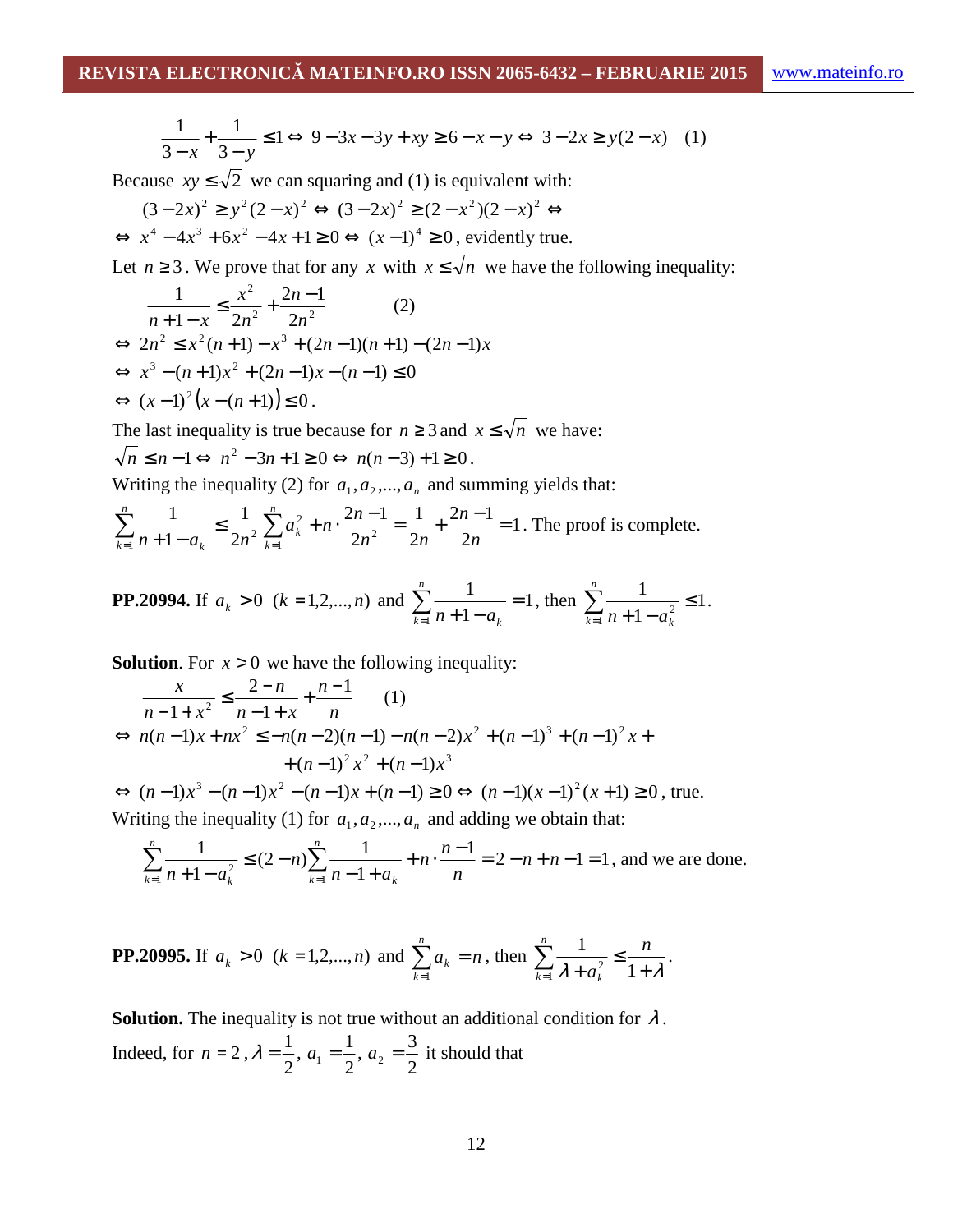$$
\frac{1}{3-x} + \frac{1}{3-y} \le 1 \Leftrightarrow 9 - 3x - 3y + xy \ge 6 - x - y \Leftrightarrow 3 - 2x \ge y(2 - x) \tag{1}
$$

Because  $xy \le \sqrt{2}$  we can squaring and (1) is equivalent with:

$$
(3-2x)^2 \ge y^2(2-x)^2 \Leftrightarrow (3-2x)^2 \ge (2-x^2)(2-x)^2 \Leftrightarrow
$$
  

$$
\Leftrightarrow x^4 - 4x^3 + 6x^2 - 4x + 1 \ge 0 \Leftrightarrow (x-1)^4 \ge 0
$$
, evidently true.

Let  $n \ge 3$ . We prove that for any *x* with  $x \le \sqrt{n}$  we have the following inequality:

$$
\frac{1}{n+1-x} \le \frac{x^2}{2n^2} + \frac{2n-1}{2n^2} \qquad (2)
$$
  
\n
$$
\Leftrightarrow 2n^2 \le x^2(n+1) - x^3 + (2n-1)(n+1) - (2n-1)x
$$
  
\n
$$
\Leftrightarrow x^3 - (n+1)x^2 + (2n-1)x - (n-1) \le 0
$$
  
\n
$$
\Leftrightarrow (x-1)^2 (x - (n+1)) \le 0.
$$

The last inequality is true because for  $n \ge 3$  and  $x \le \sqrt{n}$  we have:  $n \leq n-1 \Leftrightarrow n^2-3n+1 \geq 0 \Leftrightarrow n(n-3)+1 \geq 0$ .

Writing the inequality (2) for  $a_1, a_2, ..., a_n$  and summing yields that:

$$
\sum_{k=1}^{n} \frac{1}{n+1-a_k} \le \frac{1}{2n^2} \sum_{k=1}^{n} a_k^2 + n \cdot \frac{2n-1}{2n^2} = \frac{1}{2n} + \frac{2n-1}{2n} = 1.
$$
 The proof is complete.

**PP.20994.** If 
$$
a_k > 0
$$
 ( $k = 1, 2, ..., n$ ) and  $\sum_{k=1}^{n} \frac{1}{n+1-a_k} = 1$ , then  $\sum_{k=1}^{n} \frac{1}{n+1-a_k^2} \le 1$ .

**Solution.** For  $x > 0$  we have the following inequality:

$$
\frac{x}{n-1+x^2} \le \frac{2-n}{n-1+x} + \frac{n-1}{n} \qquad (1)
$$
  
\n
$$
\Leftrightarrow n(n-1)x + nx^2 \le -n(n-2)(n-1) - n(n-2)x^2 + (n-1)^3 + (n-1)^2x + (n-1)^2x^2 + (n-1)x^3
$$

 $\Leftrightarrow$   $(n-1)x^3 - (n-1)x^2 - (n-1)x + (n-1) \ge 0 \Leftrightarrow (n-1)(x-1)^2(x+1) \ge 0$ , true. Writing the inequality (1) for  $a_1, a_2, ..., a_n$  and adding we obtain that:

$$
\sum_{k=1}^{n} \frac{1}{n+1-a_k^2} \le (2-n) \sum_{k=1}^{n} \frac{1}{n-1+a_k} + n \cdot \frac{n-1}{n} = 2 - n + n - 1 = 1
$$
, and we are done.

**PP.20995.** If 
$$
a_k > 0
$$
 ( $k = 1, 2, ..., n$ ) and  $\sum_{k=1}^{n} a_k = n$ , then  $\sum_{k=1}^{n} \frac{1}{\lambda + a_k^2} \le \frac{n}{1 + \lambda}$ .

**Solution.** The inequality is not true without an additional condition for  $\lambda$ . Indeed, for  $n = 2$ ,  $\lambda = \frac{1}{2}$ , 2  $\lambda = \frac{1}{2}, a_1 = \frac{1}{2},$ 2  $a_1 = \frac{1}{2}, a_2 = \frac{3}{2}$  $a_2 = \frac{3}{2}$  it should that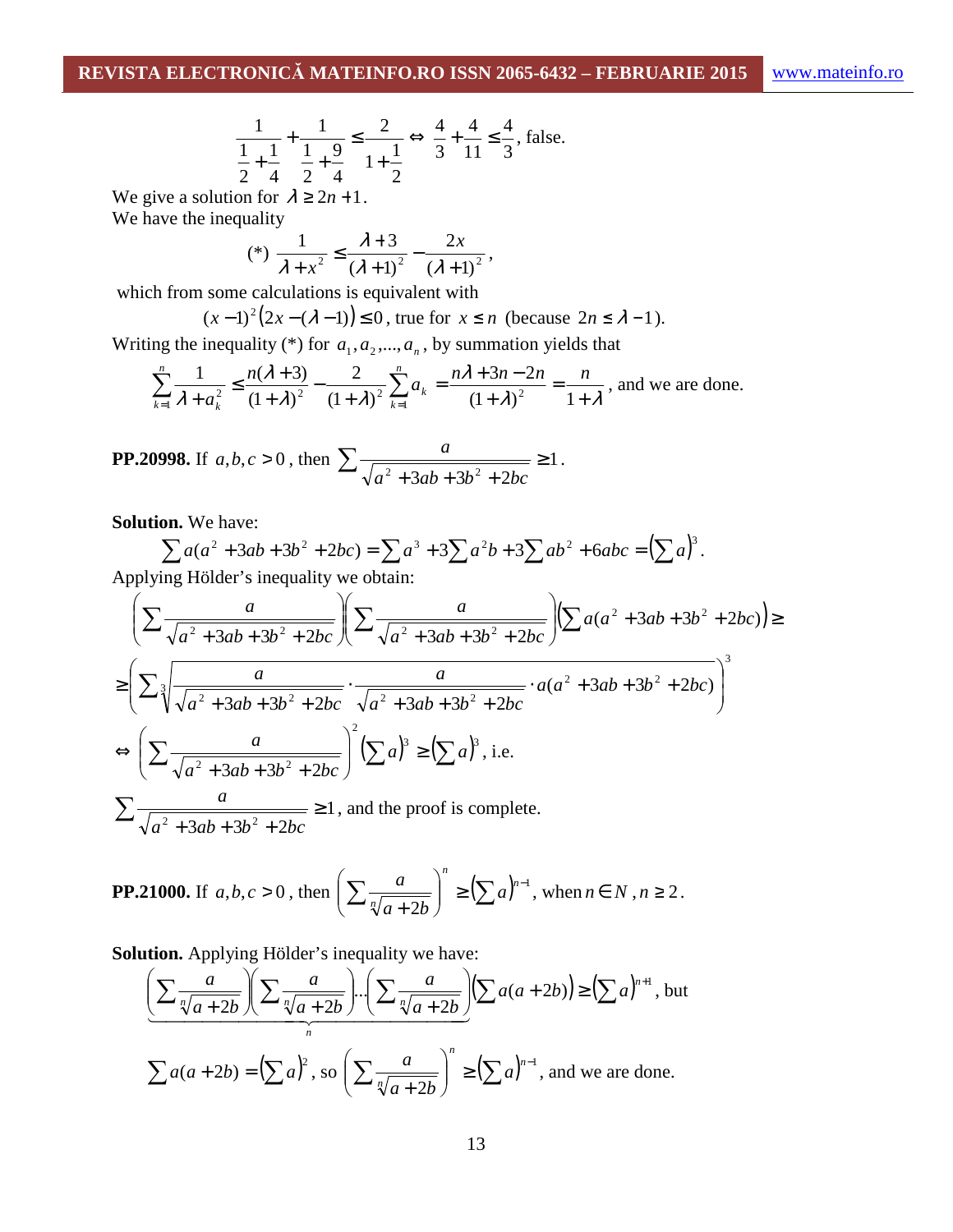$$
\frac{1}{\frac{1}{2} + \frac{1}{4}} + \frac{1}{\frac{1}{2} + \frac{9}{4}} \le \frac{2}{1 + \frac{1}{2}} \Leftrightarrow \frac{4}{3} + \frac{4}{11} \le \frac{4}{3}, \text{ false.}
$$

We give a solution for  $\lambda \geq 2n + 1$ . We have the inequality

(\*) 
$$
\frac{1}{\lambda + x^2} \le \frac{\lambda + 3}{(\lambda + 1)^2} - \frac{2x}{(\lambda + 1)^2}
$$
,

which from some calculations is equivalent with

$$
(x-1)^2(2x-(\lambda-1)) \le 0
$$
, true for  $x \le n$  (because  $2n \le \lambda -1$ ).

Writing the inequality  $(*)$  for  $a_1, a_2, ..., a_n$ , by summation yields that

$$
\sum_{k=1}^{n} \frac{1}{\lambda + a_k^2} \le \frac{n(\lambda + 3)}{(1 + \lambda)^2} - \frac{2}{(1 + \lambda)^2} \sum_{k=1}^{n} a_k = \frac{n\lambda + 3n - 2n}{(1 + \lambda)^2} = \frac{n}{1 + \lambda}
$$
, and we are done.

**PP.20998.** If 
$$
a, b, c > 0
$$
, then 
$$
\sum \frac{a}{\sqrt{a^2 + 3ab + 3b^2 + 2bc}} \ge 1.
$$

**Solution.** We have:

$$
\sum a(a^2 + 3ab + 3b^2 + 2bc) = \sum a^3 + 3\sum a^2b + 3\sum ab^2 + 6abc = (\sum a)^3.
$$

Applying Hölder's inequality we obtain:

$$
\left(\sum \frac{a}{\sqrt{a^2 + 3ab + 3b^2 + 2bc}} \right) \left(\sum \frac{a}{\sqrt{a^2 + 3ab + 3b^2 + 2bc}} \right) \left(\sum a(a^2 + 3ab + 3b^2 + 2bc)\right) \ge
$$
  
\n
$$
\ge \left(\sum \sqrt[3]{\frac{a}{\sqrt{a^2 + 3ab + 3b^2 + 2bc}} \cdot \frac{a}{\sqrt{a^2 + 3ab + 3b^2 + 2bc}} \cdot a(a^2 + 3ab + 3b^2 + 2bc)}\right)^3
$$
  
\n
$$
\Leftrightarrow \left(\sum \frac{a}{\sqrt{a^2 + 3ab + 3b^2 + 2bc}} \right)^2 \left(\sum a\right)^3 \ge \left(\sum a\right)^3, \text{ i.e.}
$$
  
\n
$$
\sum \frac{a}{\sqrt{a^2 + 3ab + 3b^2 + 2bc}} \ge 1, \text{ and the proof is complete.}
$$

**PP.21000.** If 
$$
a, b, c > 0
$$
, then  $\left(\sum \frac{a}{\sqrt[n]{a+2b}}\right)^n \geq \left(\sum a\right)^{n-1}$ , when  $n \in N$ ,  $n \geq 2$ .

**Solution.** Applying Hölder's inequality we have:

$$
\left(\frac{\sum \frac{a}{\sqrt[n]{a+2b}} \left( \sum \frac{a}{\sqrt[n]{a+2b}} \right) \cdot \left( \sum \frac{a}{\sqrt[n]{a+2b}} \right) \cdot \left( \sum a(a+2b) \right) \ge \left( \sum a \right)^{n+1}, \text{ but } a \ge a \text{ and } a \ge b \ge b \ge c \right)}{\sum a(a+2b) = \left( \sum a \right)^2, \text{ so } \left( \sum \frac{a}{\sqrt[n]{a+2b}} \right)^n \ge \left( \sum a \right)^{n-1}, \text{ and we are done.}
$$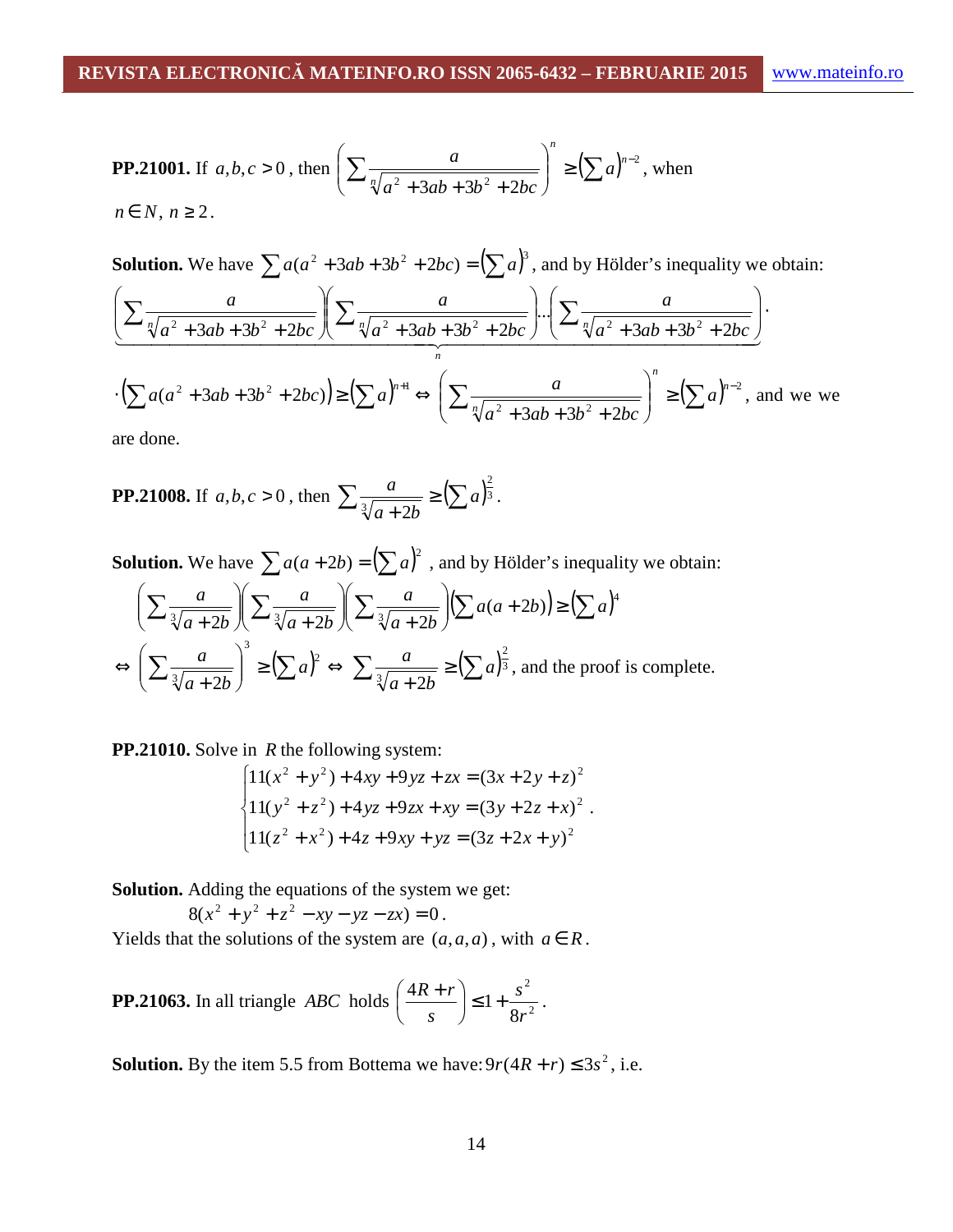**PP.21001.** If 
$$
a, b, c > 0
$$
, then  $\left( \sum \frac{a}{\sqrt[n]{a^2 + 3ab + 3b^2 + 2bc}} \right)^n \ge \left( \sum a \right)^{n-2}$ , when  $n \in N, n \ge 2$ .

**Solution.** We have  $\sum a(a^2 + 3ab + 3b^2 + 2bc) = (\sum a)^3$ , and by Hölder's inequality we obtain:

$$
\left(\frac{a}{\sqrt[n]{a^2 + 3ab + 3b^2 + 2bc}}\right)\left(\frac{a}{\sqrt[n]{a^2 + 3ab + 3b^2 + 2bc}}\right) \cdot \left(\frac{a}{\sqrt[n]{a^2 + 3ab + 3b^2 + 2bc}}\right) \cdot \left(\frac{a}{\sqrt[n]{a^2 + 3ab + 3b^2 + 2bc}}\right)
$$

$$
\cdot \left(\sum a(a^2 + 3ab + 3b^2 + 2bc)\right) \ge \left(\sum a\right)^{n+1} \Leftrightarrow \left(\sum \frac{a}{\sqrt[n]{a^2 + 3ab + 3b^2 + 2bc}}\right)^n \ge \left(\sum a\right)^{n-2}, \text{ and we we}
$$

are done.

**PP.21008.** If 
$$
a, b, c > 0
$$
, then 
$$
\sum \frac{a}{\sqrt[3]{a+2b}} \geq (\sum a)^{\frac{2}{3}}.
$$

**Solution.** We have  $\sum a(a+2b) = (\sum a)^2$ , and by Hölder's inequality we obtain:

$$
\left(\sum \frac{a}{\sqrt[3]{a+2b}}\right) \left(\sum \frac{a}{\sqrt[3]{a+2b}}\right) \left(\sum \frac{a}{\sqrt[3]{a+2b}}\right) \left(\sum a(a+2b)\right) \ge \left(\sum a\right)^4
$$
  

$$
\Leftrightarrow \left(\sum \frac{a}{\sqrt[3]{a+2b}}\right)^3 \ge \left(\sum a\right)^2 \Leftrightarrow \sum \frac{a}{\sqrt[3]{a+2b}} \ge \left(\sum a\right)^{\frac{2}{3}},
$$
 and the proof is complete.

**PP.21010.** Solve in *R* the following system:

$$
\begin{cases}\n11(x^2 + y^2) + 4xy + 9yz + zx = (3x + 2y + z)^2 \\
11(y^2 + z^2) + 4yz + 9zx + xy = (3y + 2z + x)^2 \\
11(z^2 + x^2) + 4z + 9xy + yz = (3z + 2x + y)^2\n\end{cases}
$$

**Solution.** Adding the equations of the system we get:

$$
8(x2 + y2 + z2 - xy - yz - zx) = 0.
$$

Yields that the solutions of the system are  $(a, a, a)$ , with  $a \in R$ .

**PP.21063.** In all triangle *ABC* holds 
$$
\left(\frac{4R+r}{s}\right) \le 1 + \frac{s^2}{8r^2}
$$
.

**Solution.** By the item 5.5 from Bottema we have:  $9r(4R + r) \le 3s^2$ , i.e.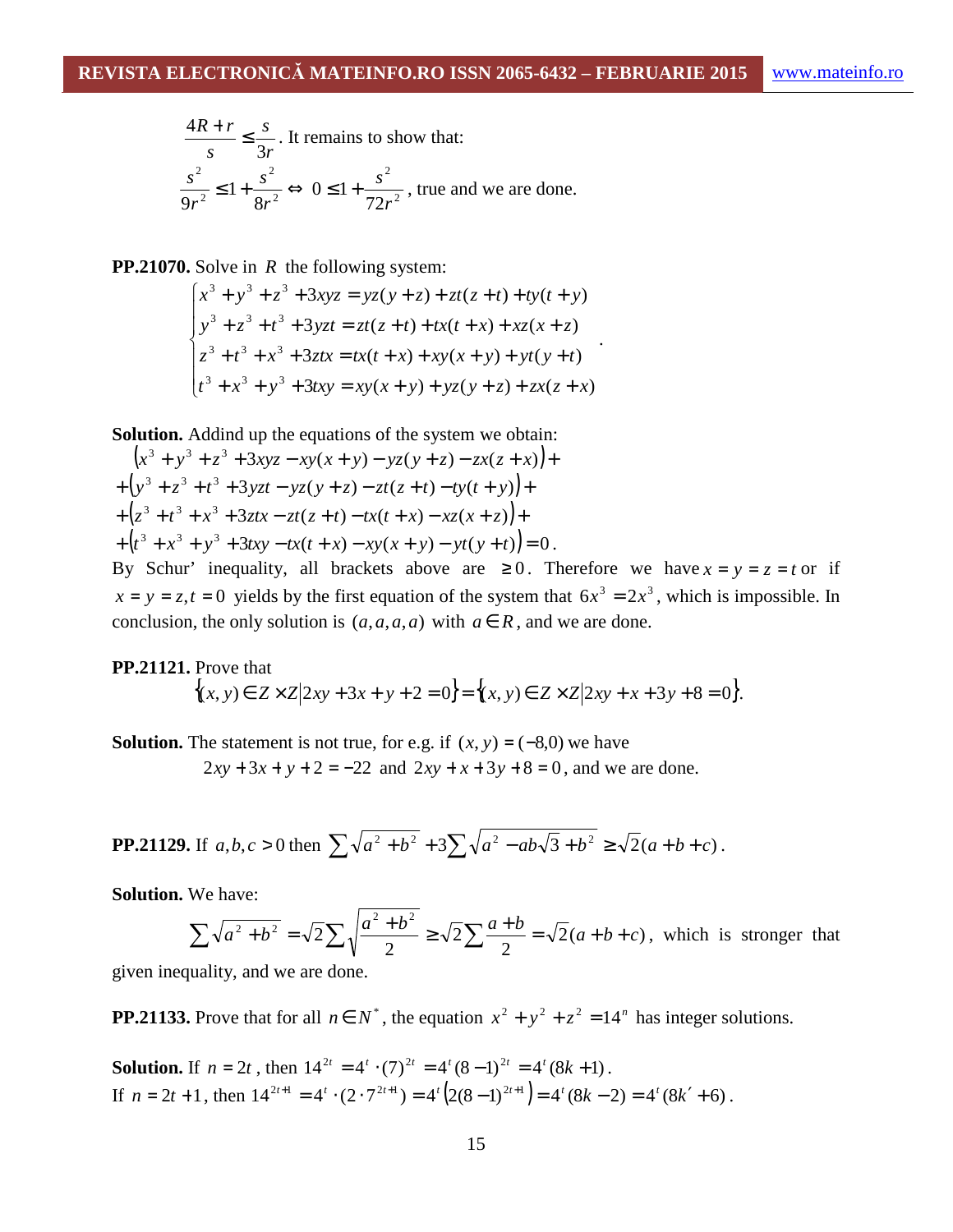$$
\frac{4R+r}{s} \le \frac{s}{3r}.
$$
 It remains to show that:  

$$
\frac{s^2}{9r^2} \le 1 + \frac{s^2}{8r^2} \Leftrightarrow 0 \le 1 + \frac{s^2}{72r^2}
$$
, true and we are done.

**PP.21070.** Solve in *R* the following system:

$$
\begin{cases} x^3 + y^3 + z^3 + 3xyz = yz(y+z) + zt(z+t) + ty(t+y) \\ y^3 + z^3 + t^3 + 3yzt = zt(z+t) + tx(t+x) + xz(x+z) \\ z^3 + t^3 + x^3 + 3ztx = tx(t+x) + xy(x+y) + yt(y+t) \\ t^3 + x^3 + y^3 + 3txy = xy(x+y) + yz(y+z) + zx(z+x) \end{cases}
$$

**Solution.** Addind up the equations of the system we obtain:

$$
(x3 + y3 + z3 + 3xyz - xy(x + y) - yz(y + z) - zx(z + x)) +
$$
  
+ (y<sup>3</sup> + z<sup>3</sup> + t<sup>3</sup> + 3yzt - yz(y + z) - zt(z + t) - ty(t + y)) +  
+ (z<sup>3</sup> + t<sup>3</sup> + x<sup>3</sup> + 3ztx - zt(z + t) - tx(t + x) - xz(x + z)) +  
+ (t<sup>3</sup> + x<sup>3</sup> + y<sup>3</sup> + 3txy - tx(t + x) - xy(x + y) - yt(y + t)) = 0.

By Schur' inequality, all brackets above are  $\geq 0$ . Therefore we have  $x = y = z = t$  or if  $x = y = z, t = 0$  yields by the first equation of the system that  $6x^3 = 2x^3$ , which is impossible. In conclusion, the only solution is  $(a,a,a,a)$  with  $a \in R$ , and we are done.

## **PP.21121.** Prove that  ${(x, y) \in Z \times Z | 2xy + 3x + y + 2 = 0} = {(x, y) \in Z \times Z | 2xy + x + 3y + 8 = 0}.$

**Solution.** The statement is not true, for e.g. if  $(x, y) = (-8,0)$  we have  $2xy + 3x + y + 2 = -22$  and  $2xy + x + 3y + 8 = 0$ , and we are done.

**PP.21129.** If 
$$
a, b, c > 0
$$
 then  $\sum \sqrt{a^2 + b^2} + 3 \sum \sqrt{a^2 - ab\sqrt{3} + b^2} \ge \sqrt{2}(a+b+c)$ .

**Solution.** We have:

$$
\sum \sqrt{a^2 + b^2} = \sqrt{2} \sum \sqrt{\frac{a^2 + b^2}{2}} \ge \sqrt{2} \sum \frac{a+b}{2} = \sqrt{2}(a+b+c)
$$
, which is stronger that

given inequality, and we are done.

**PP.21133.** Prove that for all  $n \in N^*$ , the equation  $x^2 + y^2 + z^2 = 14^n$  has integer solutions.

**Solution.** If  $n = 2t$ , then  $14^{2t} = 4^t \cdot (7)^{2t} = 4^t (8-1)^{2t} = 4^t (8k+1)$ . If  $n = 2t + 1$ , then  $14^{2t+1} = 4^t \cdot (2 \cdot 7^{2t+1}) = 4^t (2(8-1)^{2t+1}) = 4^t (8k - 2) = 4^t (8k' + 6)$ .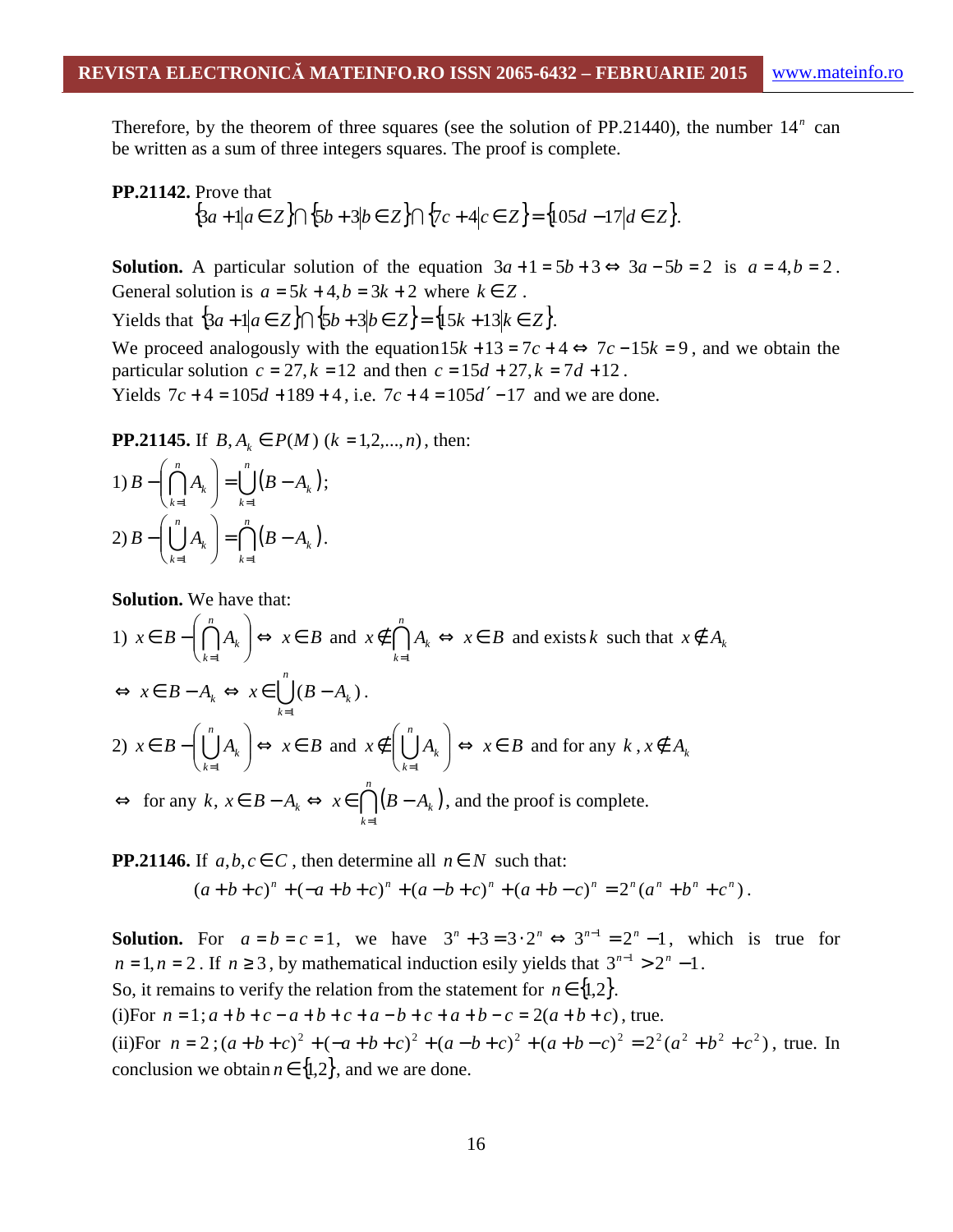Therefore, by the theorem of three squares (see the solution of PP.21440), the number  $14<sup>n</sup>$  can be written as a sum of three integers squares. The proof is complete.

#### **PP.21142.** Prove that

$$
\{3a + 1 | a \in Z\} \cap \{5b + 3 | b \in Z\} \cap \{7c + 4 | c \in Z\} = \{105d - 17 | d \in Z\}.
$$

**Solution.** A particular solution of the equation  $3a+1=5b+3 \Leftrightarrow 3a-5b=2$  is  $a=4, b=2$ . General solution is  $a = 5k + 4$ ,  $b = 3k + 2$  where  $k \in \mathbb{Z}$ .

Yields that  $\{3a + 1 | a \in Z\} \cap \{5b + 3 | b \in Z\} = \{15k + 13 | k \in Z\}.$ 

We proceed analogously with the equation  $15k + 13 = 7c + 4 \Leftrightarrow 7c - 15k = 9$ , and we obtain the particular solution  $c = 27, k = 12$  and then  $c = 15d + 27, k = 7d + 12$ . Yields  $7c + 4 = 105d + 189 + 4$ , i.e.  $7c + 4 = 105d' - 17$  and we are done.

**PP.21145.** If  $B, A_k \in P(M)$  ( $k = 1, 2, ..., n$ ), then:

1) 
$$
B - \left(\bigcap_{k=1}^{n} A_k\right) = \bigcup_{k=1}^{n} \left(B - A_k\right);
$$
  
2)  $B - \left(\bigcup_{k=1}^{n} A_k\right) = \bigcap_{k=1}^{n} \left(B - A_k\right).$ 

**Solution.** We have that:

1)  $x \in B - \cap A_k \mid \Leftrightarrow x \in B$ *n*  $\left(\bigcap_{k=1}^k A_k\right) \Leftrightarrow x \in$ J  $\backslash$  $\overline{\phantom{a}}$  $\setminus$ ſ  $\in B \bigcap_{k=1}$ and  $x \notin \bigcap A_k \Leftrightarrow x \in B$ *n k*  $\notin$   $A_k$  ⇔  $x \in$  $\bigcap\limits_{k=1}$ and exists *k* such that  $x \notin A_k$ ∪ *n k*  $x \in B - A_k \Leftrightarrow x \in \bigcup (B - A_k)$ 1  $(B-A_k)$ =  $\Leftrightarrow x \in B - A_k \Leftrightarrow x \in \bigcup (B - A_k).$ 2)  $x \in B - | \bigcup A_k | \Leftrightarrow x \in B$ *n*  $\bigcup_{k=1} A_k \Big) \Leftrightarrow x \in$ J  $\backslash$  $\overline{\phantom{a}}$  $\setminus$ ſ  $\in B \bigcup_{k=1} A_k \right) \Leftrightarrow x \in B$  and  $x \notin \left( \bigcup_{k=1} A_k \right)$ J  $\backslash$  $\overline{\phantom{a}}$  $\setminus$ ſ ∉  $\bigcup_{k=1}^n$ *k*  $x \notin \bigcup A_k$ 1  $\Leftrightarrow$  *x*  $\in$  *B* and for any *k*, *x*  $\notin$  *A*<sub>*k*</sub>  $\Leftrightarrow$  for any  $k, x \in B - A_k \Leftrightarrow x \in \bigcap^n (B - A_k)$ *k*  $x \in \bigcap (B-A_k)$  $=1$  $\Leftrightarrow$   $x \in \bigcap (B - A_k)$ , and the proof is complete.

**PP.21146.** If  $a, b, c \in C$ , then determine all  $n \in N$  such that:

$$
(a+b+c)^n + (-a+b+c)^n + (a-b+c)^n + (a+b-c)^n = 2^n(a^n + b^n + c^n).
$$

**Solution.** For  $a = b = c = 1$ , we have  $3^n + 3 = 3 \cdot 2^n \Leftrightarrow 3^{n-1} = 2^n - 1$ , which is true for  $n = 1, n = 2$ . If  $n \ge 3$ , by mathematical induction esily yields that  $3^{n-1} > 2^n - 1$ . So, it remains to verify the relation from the statement for  $n \in \{1,2\}$ . (i)For  $n = 1$ ;  $a + b + c - a + b + c + a - b + c + a + b - c = 2(a + b + c)$ , true. (ii)For  $n = 2$ ;  $(a+b+c)^2 + (-a+b+c)^2 + (a-b+c)^2 + (a+b-c)^2 = 2^2(a^2+b^2+c^2)$ , true. In

conclusion we obtain  $n \in \{1,2\}$ , and we are done.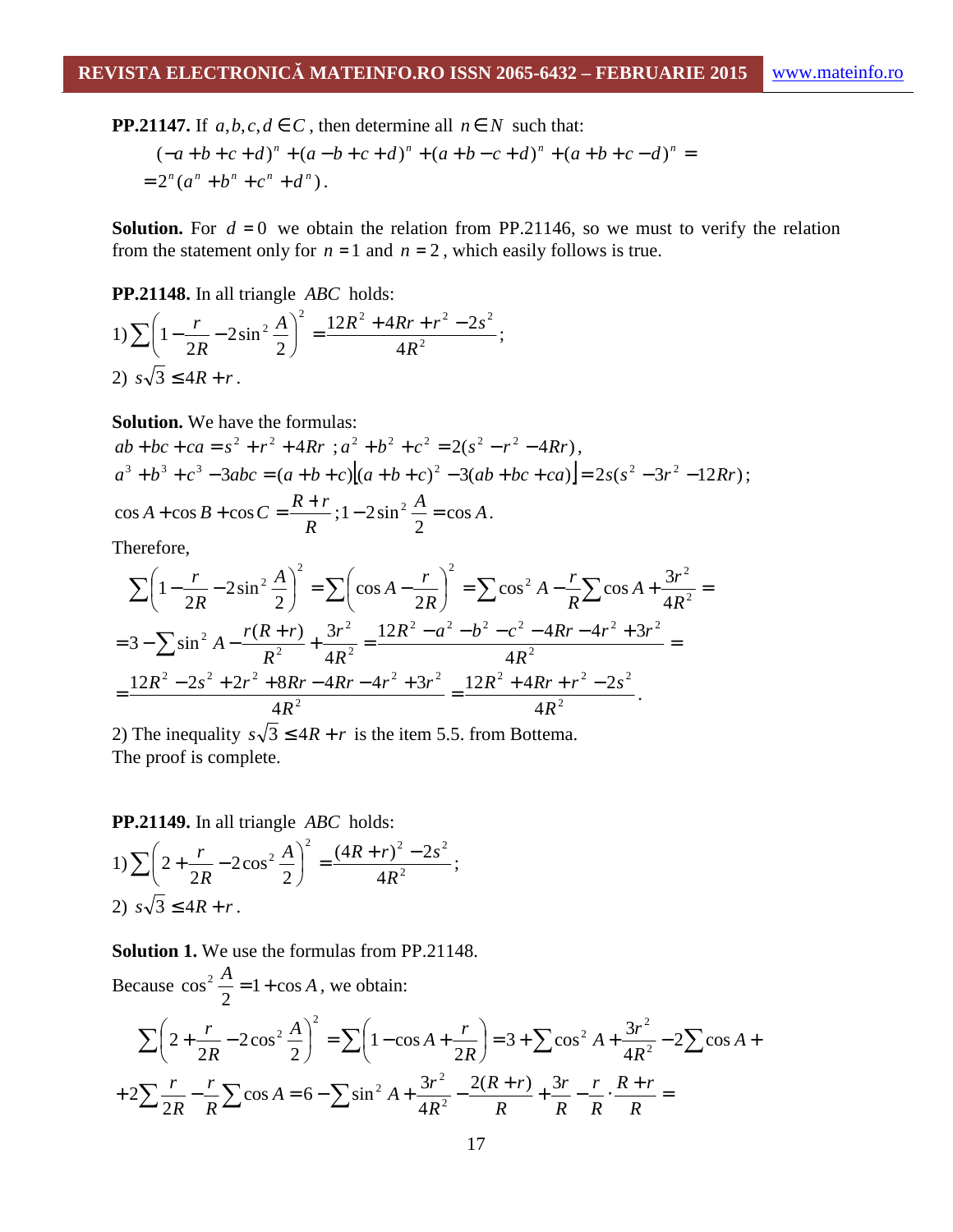**PP.21147.** If  $a, b, c, d \in C$ , then determine all  $n \in N$  such that:

$$
(-a+b+c+d)^n + (a-b+c+d)^n + (a+b-c+d)^n + (a+b+c-d)^n = 2^n(a^n + b^n + c^n + d^n).
$$

**Solution.** For  $d = 0$  we obtain the relation from PP.21146, so we must to verify the relation from the statement only for  $n = 1$  and  $n = 2$ , which easily follows is true.

**PP.21148.** In all triangle *ABC* holds:

1) 
$$
\sum \left(1 - \frac{r}{2R} - 2\sin^2 \frac{A}{2}\right)^2 = \frac{12R^2 + 4Rr + r^2 - 2s^2}{4R^2};
$$
  
2)  $s\sqrt{3} \le 4R + r.$ 

**Solution.** We have the formulas:

$$
ab+bc+ca = s^2 + r^2 + 4Rr \quad ; a^2 + b^2 + c^2 = 2(s^2 - r^2 - 4Rr),
$$
  
\n
$$
a^3 + b^3 + c^3 - 3abc = (a+b+c)[(a+b+c)^2 - 3(ab+bc+ca)] = 2s(s^2 - 3r^2 - 12Rr);
$$
  
\n
$$
\cos A + \cos B + \cos C = \frac{R+r}{R}; 1 - 2\sin^2 \frac{A}{2} = \cos A.
$$

Therefore,

$$
\sum \left(1 - \frac{r}{2R} - 2\sin^2\frac{A}{2}\right)^2 = \sum \left(\cos A - \frac{r}{2R}\right)^2 = \sum \cos^2 A - \frac{r}{R}\sum \cos A + \frac{3r^2}{4R^2} =
$$
  
=  $3 - \sum \sin^2 A - \frac{r(R+r)}{R^2} + \frac{3r^2}{4R^2} = \frac{12R^2 - a^2 - b^2 - c^2 - 4Rr - 4r^2 + 3r^2}{4R^2} =$   
=  $\frac{12R^2 - 2s^2 + 2r^2 + 8Rr - 4Rr - 4r^2 + 3r^2}{4R^2} = \frac{12R^2 + 4Rr + r^2 - 2s^2}{4R^2}.$ 

2) The inequality  $s\sqrt{3} \leq 4R + r$  is the item 5.5. from Bottema. The proof is complete.

**PP.21149.** In all triangle *ABC* holds:

1) 
$$
\sum \left(2 + \frac{r}{2R} - 2\cos^2 \frac{A}{2}\right)^2 = \frac{(4R + r)^2 - 2s^2}{4R^2};
$$
  
2)  $s\sqrt{3} \le 4R + r.$ 

**Solution 1.** We use the formulas from PP.21148.

Because  $cos^2 \frac{A}{2} = 1 + cos A$ 2  $\cos^2 \frac{A}{2} = 1 + \cos A$ , we obtain:

$$
\sum \left(2 + \frac{r}{2R} - 2\cos^2\frac{A}{2}\right)^2 = \sum \left(1 - \cos A + \frac{r}{2R}\right) = 3 + \sum \cos^2 A + \frac{3r^2}{4R^2} - 2\sum \cos A + \frac{3}{2R} = 2\sum \cos A = 6 - \sum \sin^2 A + \frac{3r^2}{4R^2} - \frac{2(R+r)}{R} + \frac{3r}{R} - \frac{r}{R} \cdot \frac{R+r}{R} =
$$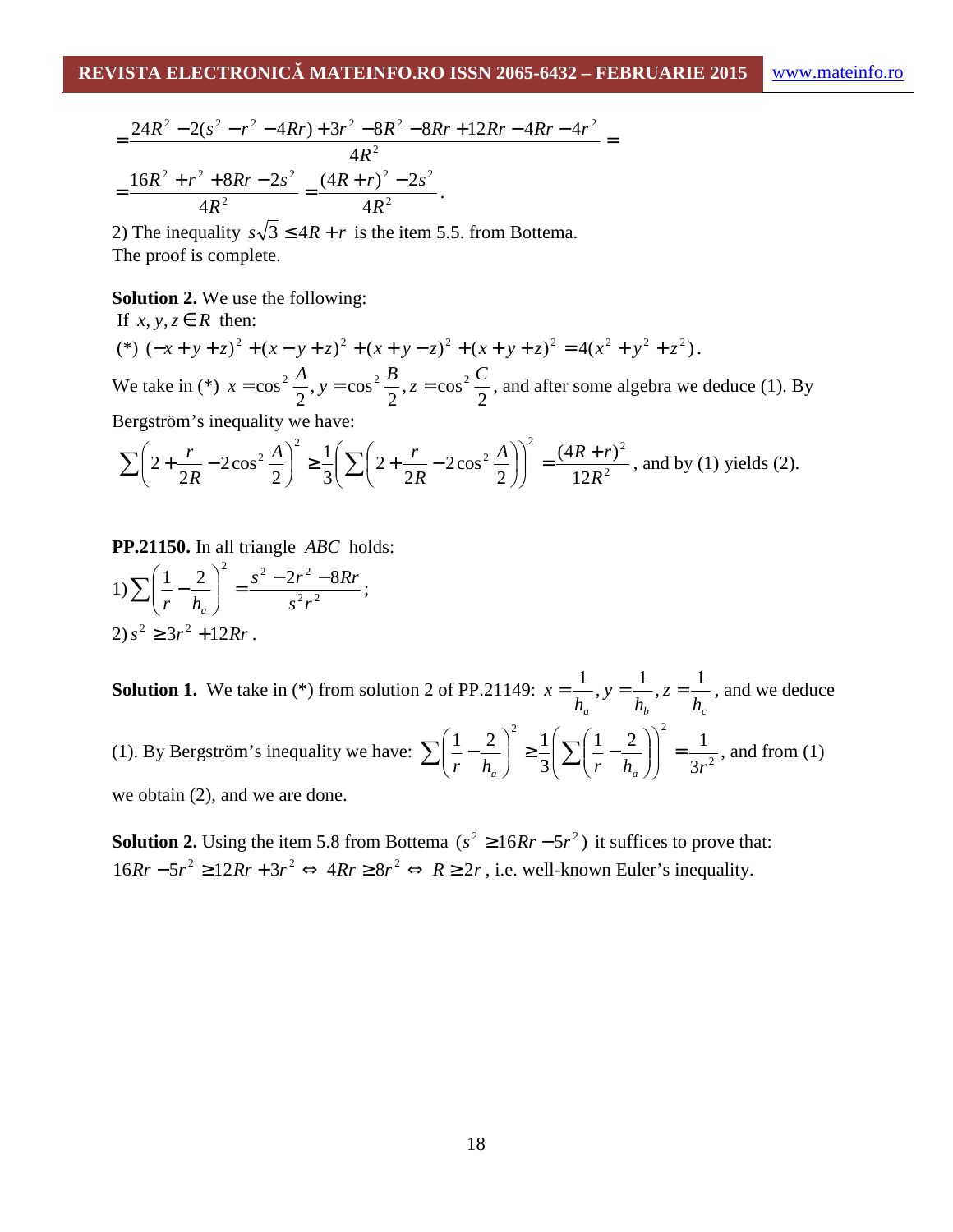$$
=\frac{24R^2-2(s^2-r^2-4Rr)+3r^2-8R^2-8Rr+12Rr-4Rr-4r^2}{4R^2}
$$
  
=
$$
\frac{16R^2+r^2+8Rr-2s^2}{4R^2}=\frac{(4R+r)^2-2s^2}{4R^2}.
$$

2) The inequality  $s\sqrt{3} \leq 4R + r$  is the item 5.5. from Bottema. The proof is complete.

#### **Solution 2.** We use the following:

If  $x, y, z \in R$  then:  $(*) (-x + y + z)^{2} + (x - y + z)^{2} + (x + y - z)^{2} + (x + y + z)^{2} = 4(x^{2} + y^{2} + z^{2}).$ We take in (\*) 2  $z = \cos$ 2  $, y = cos$ 2  $x = \cos^2 \frac{A}{2}$ ,  $y = \cos^2 \frac{B}{2}$ ,  $z = \cos^2 \frac{C}{2}$ , and after some algebra we deduce (1). By Bergström's inequality we have:

$$
\sum \left(2 + \frac{r}{2R} - 2\cos^2\frac{A}{2}\right)^2 \ge \frac{1}{3} \left(\sum \left(2 + \frac{r}{2R} - 2\cos^2\frac{A}{2}\right)\right)^2 = \frac{(4R + r)^2}{12R^2}
$$
, and by (1) yields (2).

**PP.21150.** In all triangle *ABC* holds:

1) 
$$
\sum \left(\frac{1}{r} - \frac{2}{h_a}\right)^2 = \frac{s^2 - 2r^2 - 8Rr}{s^2r^2};
$$
  
2)  $s^2 \ge 3r^2 + 12Rr$ .

**Solution 1.** We take in  $(*)$  from solution 2 of PP.21149:  $h_b$ <sup>2</sup> *h*<sub>c</sub> *z h y h*  $x = \frac{1}{x}$ ,  $y = \frac{1}{x}$ ,  $z = \frac{1}{x}$ , and we deduce (1). By Bergström's inequality we have:  $\sum \left| \frac{1}{r} - \frac{2}{h} \right| \geq \frac{1}{3} \sum \left| \frac{1}{r} - \frac{2}{h} \right| = \frac{1}{3n^2}$ 2  $(1 - \sqrt{2})^2$ 3  $1 \quad 2 \mid 1 \mid 1$ 3  $1 \quad 2 \mid 1$  $r$   $h_a$   $\Big)$   $\Big( \frac{2}{r} \left( r - h_a \right) \Big)$   $\Big( 3r \Big)$  $\vert$  = J  $\backslash$  $\overline{\phantom{a}}$ l ſ  $\overline{\phantom{a}}$ J  $\backslash$  $\overline{\phantom{a}}$ l ſ  $\left| \frac{2}{3} \right| \sum_{r} \left| \frac{1}{r} \right|$ J  $\backslash$  $\overline{\phantom{a}}$  $\setminus$  $\sum \left(\frac{1}{n}-\frac{2}{l}\right)^2 \geq \frac{1}{2}\left(\sum \left(\frac{1}{n}-\frac{2}{l}\right)\right)^2 = \frac{1}{2^2}$ , and from (1)

we obtain (2), and we are done.

**Solution 2.** Using the item 5.8 from Bottema  $(s^2 \ge 16Rr - 5r^2)$  it suffices to prove that:  $16Rr - 5r^2 \ge 12Rr + 3r^2 \Leftrightarrow 4Rr \ge 8r^2 \Leftrightarrow R \ge 2r$ , i.e. well-known Euler's inequality.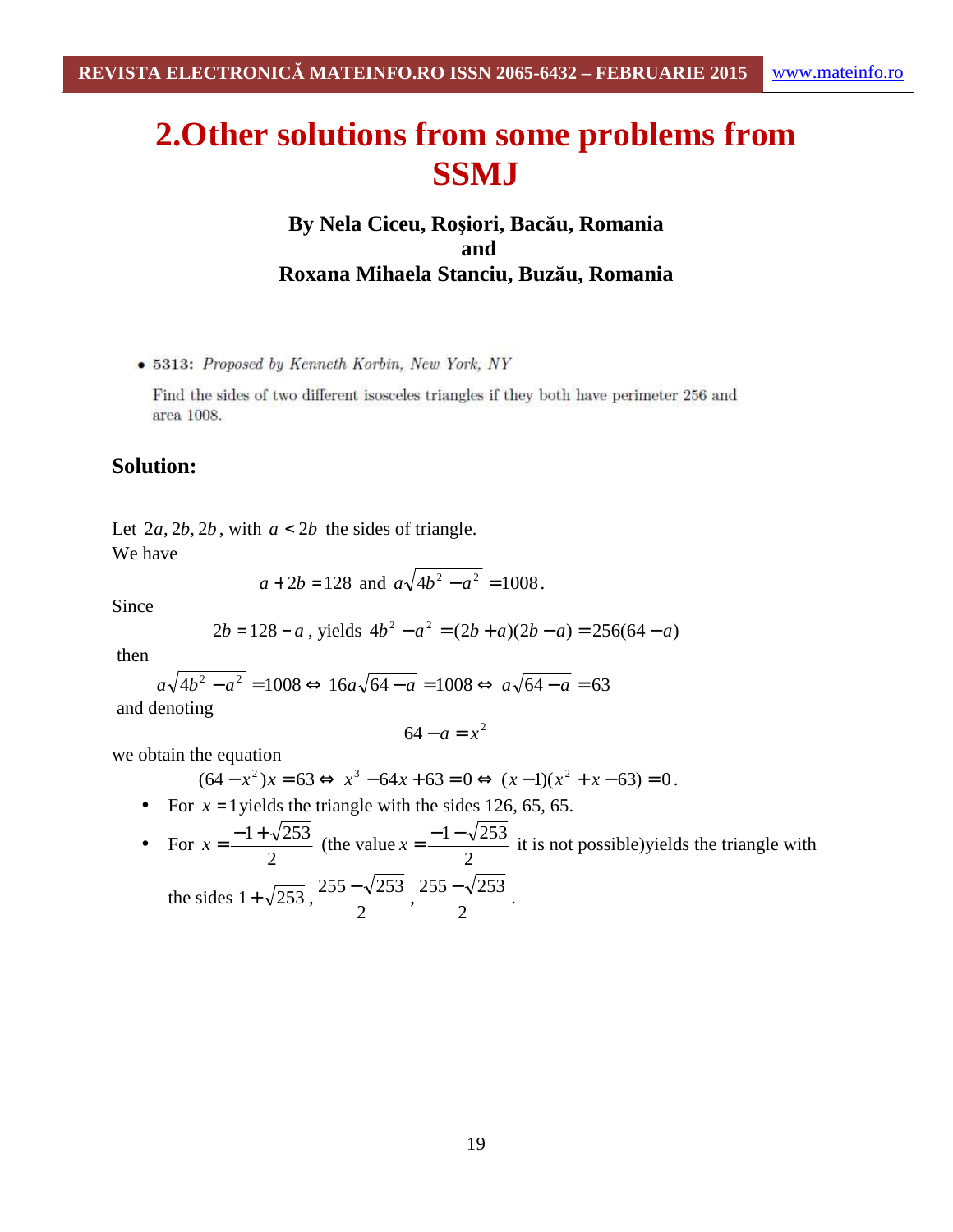# **2.Other solutions from some problems from SSMJ**

## **By Nela Ciceu, Roşiori, Bacău, Romania and Roxana Mihaela Stanciu, Buzău, Romania**

• 5313: Proposed by Kenneth Korbin, New York, NY

Find the sides of two different isosceles triangles if they both have perimeter 256 and area 1008.

#### **Solution:**

Let  $2a, 2b, 2b$ , with  $a < 2b$  the sides of triangle.

We have

$$
a + 2b = 128
$$
 and  $a\sqrt{4b^2 - a^2} = 1008$ .

Since

$$
2b = 128 - a
$$
, yields  $4b^2 - a^2 = (2b + a)(2b - a) = 256(64 - a)$ 

then

$$
a\sqrt{4b^2 - a^2} = 1008 \Leftrightarrow 16a\sqrt{64 - a} = 1008 \Leftrightarrow a\sqrt{64 - a} = 63
$$

and denoting

$$
64 - a = x^2
$$

we obtain the equation

$$
(64 - x2)x = 63 \Leftrightarrow x3 - 64x + 63 = 0 \Leftrightarrow (x - 1)(x2 + x - 63) = 0.
$$

- For  $x = 1$  yields the triangle with the sides 126, 65, 65.
- For 2  $x = \frac{-1 + \sqrt{253}}{2}$  (the value 2  $x = \frac{-1 - \sqrt{253}}{2}$  it is not possible)yields the triangle with

.

the sides 
$$
1 + \sqrt{253}
$$
,  $\frac{255 - \sqrt{253}}{2}$ ,  $\frac{255 - \sqrt{253}}{2}$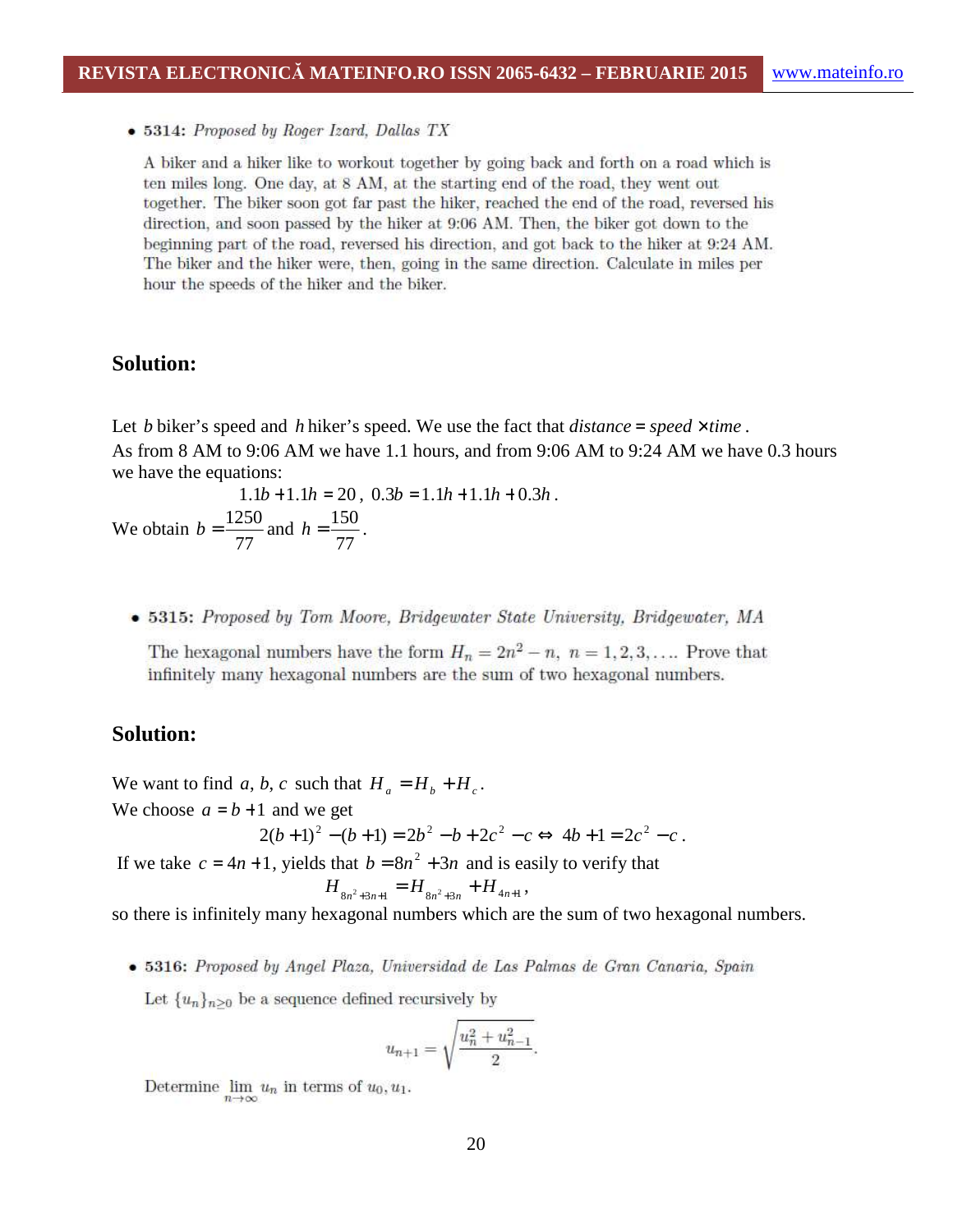• 5314: Proposed by Roger Izard, Dallas TX

A biker and a hiker like to workout together by going back and forth on a road which is ten miles long. One day, at 8 AM, at the starting end of the road, they went out together. The biker soon got far past the hiker, reached the end of the road, reversed his direction, and soon passed by the hiker at 9:06 AM. Then, the biker got down to the beginning part of the road, reversed his direction, and got back to the hiker at 9:24 AM. The biker and the hiker were, then, going in the same direction. Calculate in miles per hour the speeds of the hiker and the biker.

#### **Solution:**

Let *b* biker's speed and *h* hiker's speed. We use the fact that *distance = speed*  $\times$  *time*. As from 8 AM to 9:06 AM we have 1.1 hours, and from 9:06 AM to 9:24 AM we have 0.3 hours we have the equations:

 $1.1b + 1.1h = 20$ ,  $0.3b = 1.1h + 1.1h + 0.3h$ . We obtain 77  $b = \frac{1250}{77}$  and 77  $h = \frac{150}{75}$ .

• 5315: Proposed by Tom Moore, Bridgewater State University, Bridgewater, MA

The hexagonal numbers have the form  $H_n = 2n^2 - n$ ,  $n = 1, 2, 3, ...$  Prove that infinitely many hexagonal numbers are the sum of two hexagonal numbers.

#### **Solution:**

We want to find *a*, *b*, *c* such that  $H_a = H_b + H_c$ .

We choose  $a = b + 1$  and we get

$$
2(b+1)^{2} - (b+1) = 2b^{2} - b + 2c^{2} - c \Leftrightarrow 4b+1 = 2c^{2} - c.
$$

If we take  $c = 4n + 1$ , yields that  $b = 8n^2 + 3n$  and is easily to verify that

$$
H_{8n^2+3n+1} = H_{8n^2+3n} + H_{4n+1},
$$

so there is infinitely many hexagonal numbers which are the sum of two hexagonal numbers.

· 5316: Proposed by Angel Plaza, Universidad de Las Palmas de Gran Canaria, Spain

Let  $\{u_n\}_{n\geq 0}$  be a sequence defined recursively by

$$
u_{n+1} = \sqrt{\frac{u_n^2 + u_{n-1}^2}{2}}.
$$

Determine  $\lim_{n\to\infty} u_n$  in terms of  $u_0, u_1$ .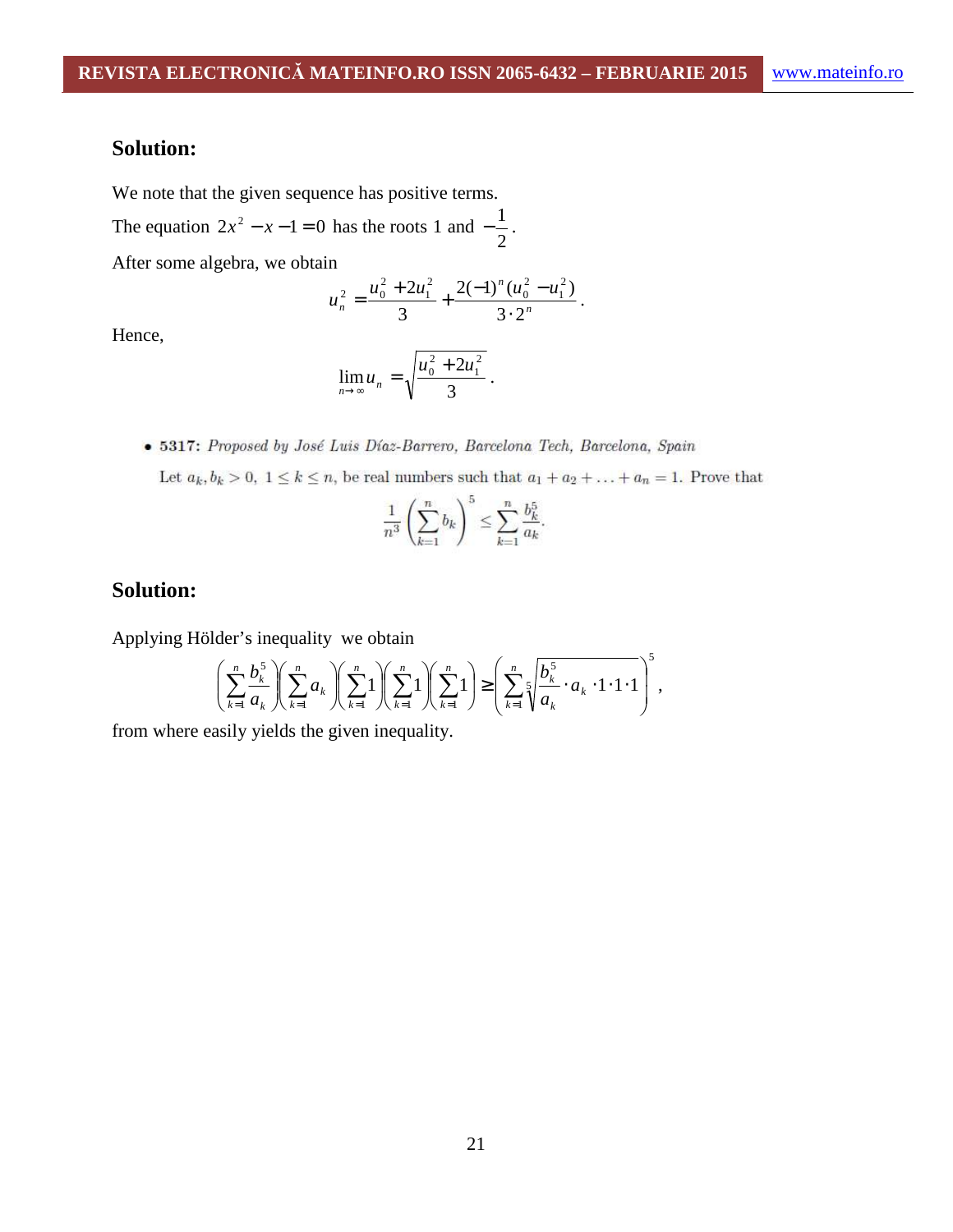## **Solution:**

We note that the given sequence has positive terms.

The equation  $2x^2 - x - 1 = 0$  has the roots 1 and 2  $-\frac{1}{2}$ .

After some algebra, we obtain

$$
u_n^2 = \frac{u_0^2 + 2u_1^2}{3} + \frac{2(-1)^n (u_0^2 - u_1^2)}{3 \cdot 2^n}.
$$

Hence,

$$
\lim_{n \to \infty} u_n = \sqrt{\frac{u_0^2 + 2u_1^2}{3}} \ .
$$

• 5317: Proposed by José Luis Díaz-Barrero, Barcelona Tech, Barcelona, Spain

Let  $a_k, b_k > 0$ ,  $1 \le k \le n$ , be real numbers such that  $a_1 + a_2 + \ldots + a_n = 1$ . Prove that

$$
\frac{1}{n^3} \left( \sum_{k=1}^n b_k \right)^5 \le \sum_{k=1}^n \frac{b_k^5}{a_k}.
$$

### **Solution:**

Applying Hölder's inequality we obtain

$$
\left(\sum_{k=1}^n \frac{b_k^5}{a_k}\right)\left(\sum_{k=1}^n a_k\right)\left(\sum_{k=1}^n 1\right)\left(\sum_{k=1}^n 1\right)\geq \left(\sum_{k=1}^n 1\right)\geq \left(\sum_{k=1}^n \sqrt{\frac{b_k^5}{a_k}\cdot a_k\cdot 1\cdot 1\cdot 1}\right)^5,
$$

from where easily yields the given inequality.